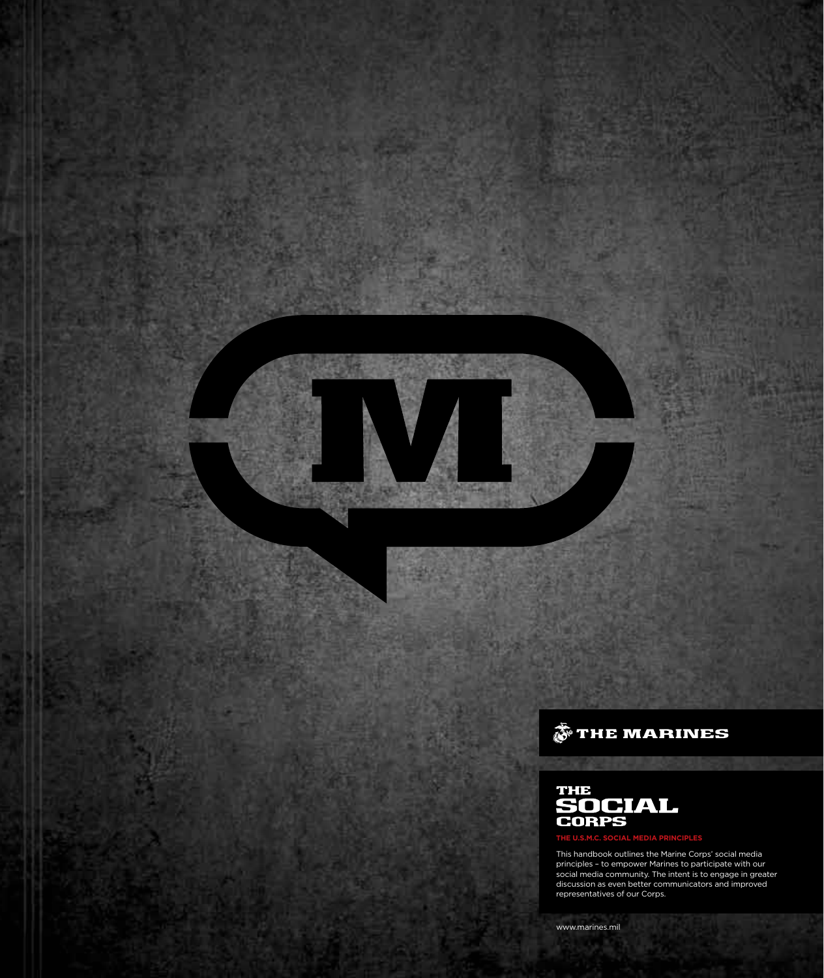## $\hat{\mathcal{E}}$  THE MARINES

#### THE **SOCIAL CORPS**

**THE U.S.M.C. Social Media Principles**

This handbook outlines the Marine Corps' social media principles - to empower Marines to participate with our<br>social media community. The intent is to engage in greater<br>discussion as even better communicators and improved representatives of our Corps.

www.marines.mil

ww.marines.mil. The U.S.M.C. Social Media Principles of U.S.M.C. Social Media Principles in the U.S.M.C. Social Media Principles of U.S.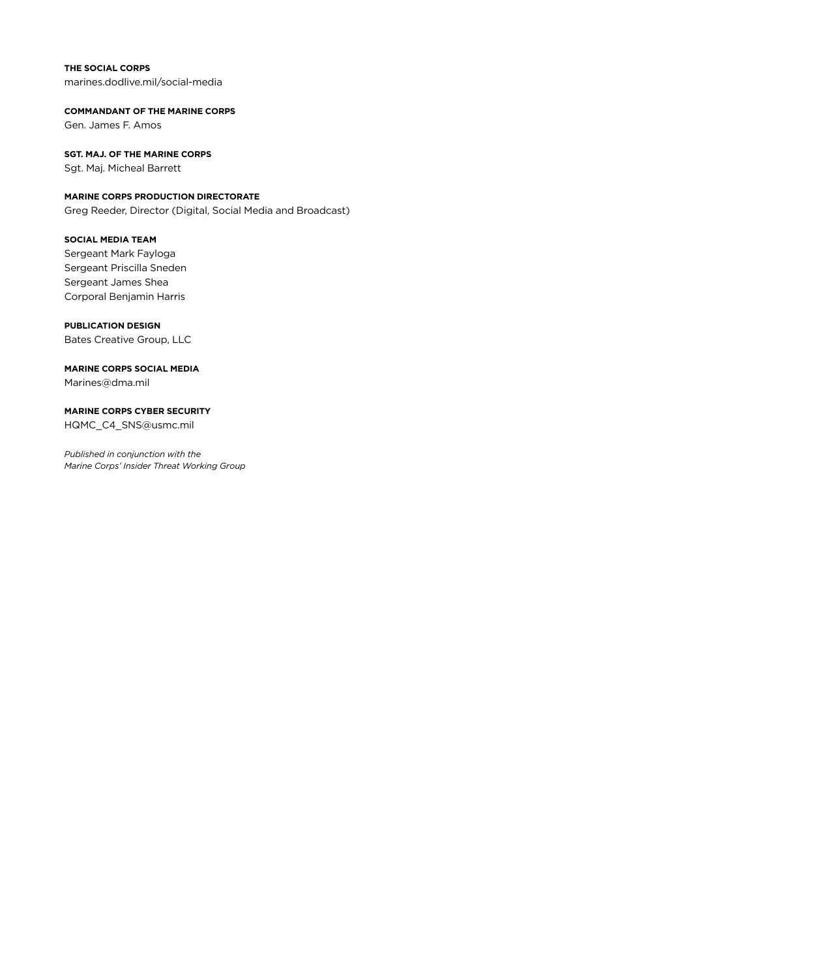**The Social Corps** marines.dodlive.mil/social-media

**Commandant of the Marine Corps**

Gen. James F. Amos

#### **Sgt. Maj. of the Marine Corps**

Sgt. Maj. Micheal Barrett

#### **Marine Corps Production Directorate**

Greg Reeder, Director (Digital, Social Media and Broadcast)

#### **Social Media Team**

Sergeant Mark Fayloga Sergeant Priscilla Sneden Sergeant James Shea Corporal Benjamin Harris

**Publication Design** Bates Creative Group, LLC

### **Marine Corps Social Media**

Marines@dma.mil

#### **Marine Corps Cyber Security**

HQMC\_C4\_SNS@usmc.mil

*Published in conjunction with the Marine Corps' Insider Threat Working Group*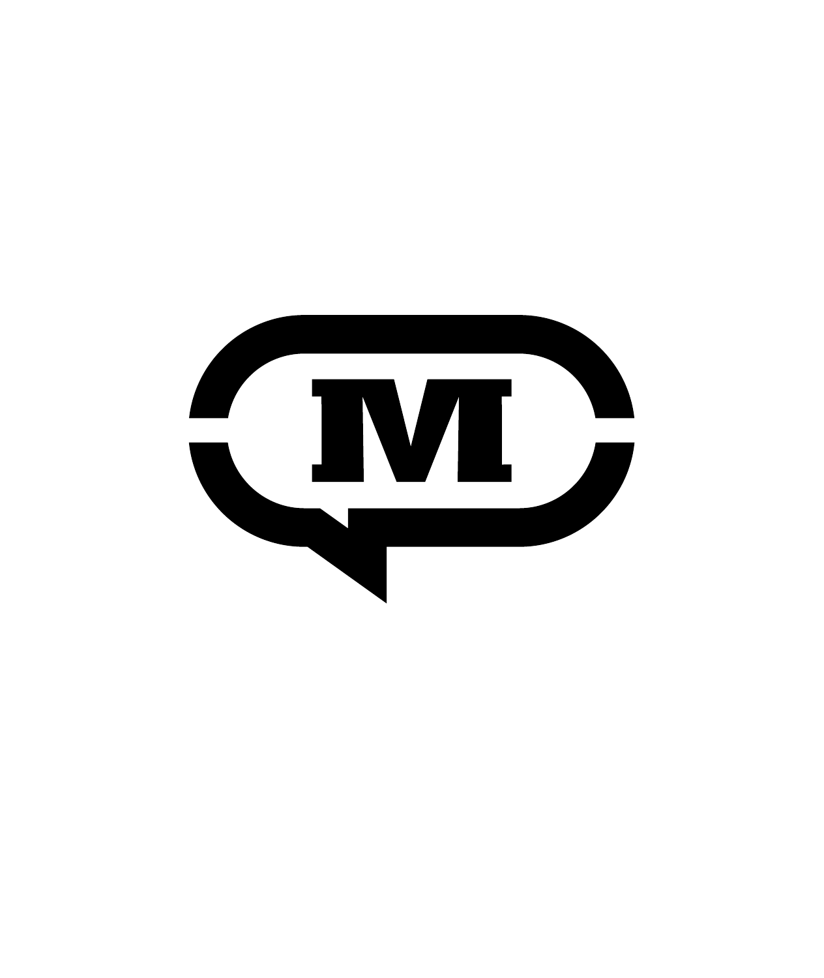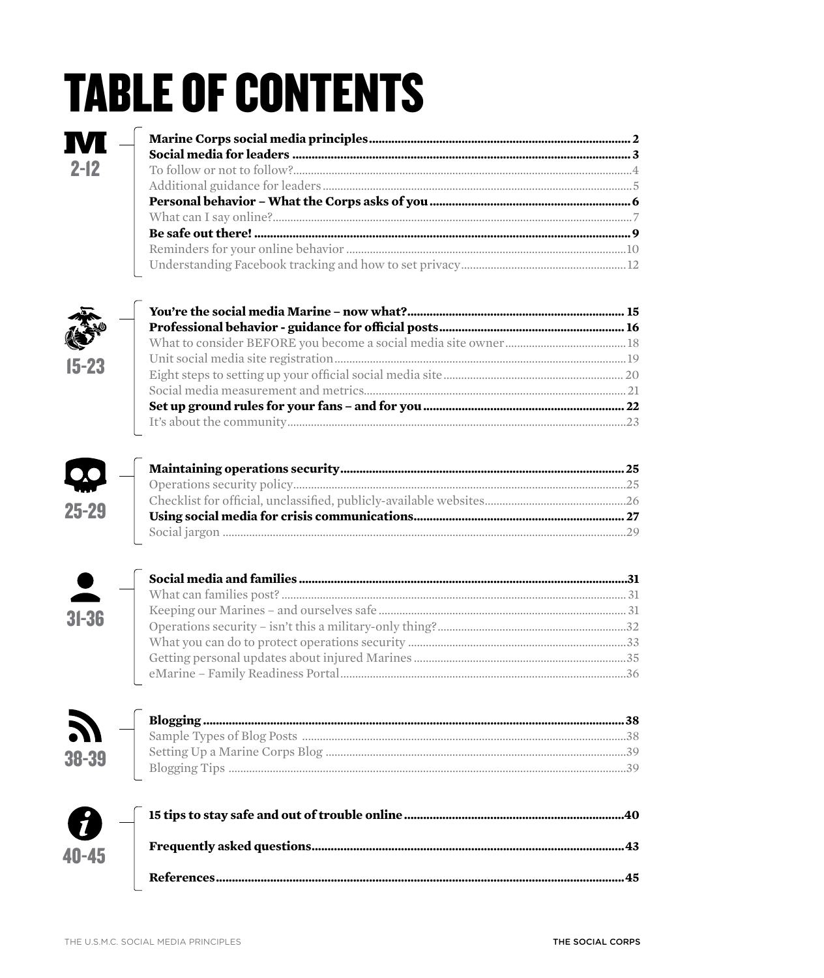# **TABLE OF CONTENTS**

| $\mathbf{M}$ - |  |
|----------------|--|
|                |  |
| $2 - 12$       |  |
|                |  |
|                |  |
|                |  |
|                |  |
|                |  |
|                |  |
|                |  |





| ιI<br>Ξđ |
|----------|



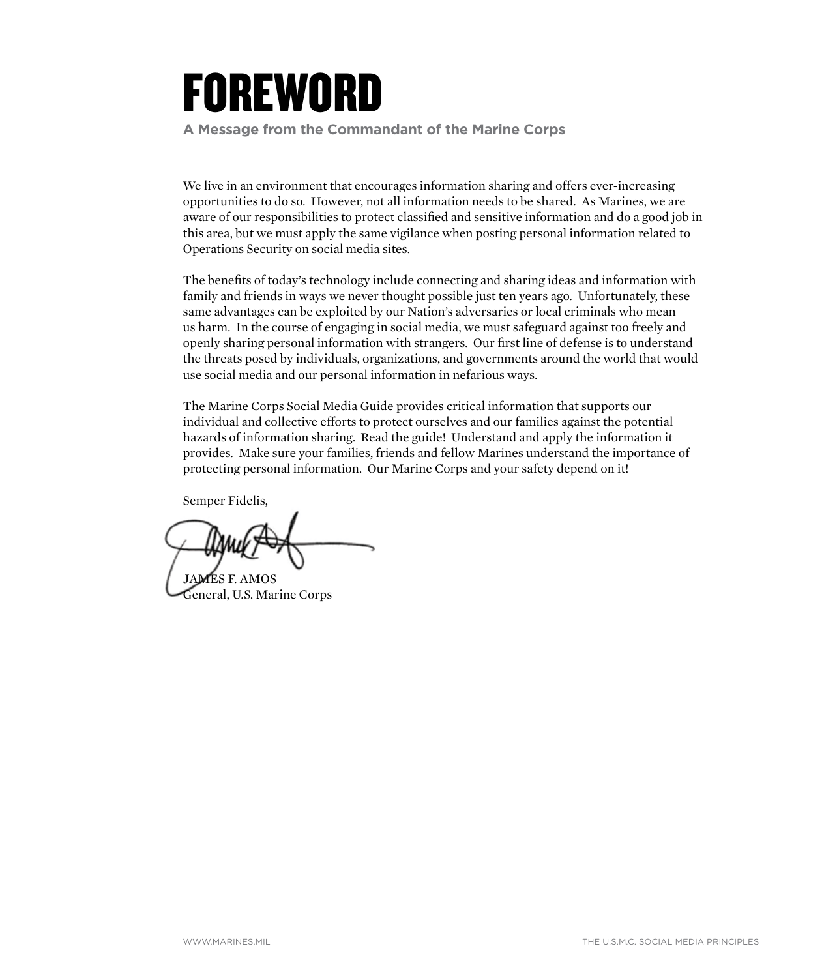## FOREWORD

**A Message from the Commandant of the Marine Corps**

We live in an environment that encourages information sharing and offers ever-increasing opportunities to do so. However, not all information needs to be shared. As Marines, we are aware of our responsibilities to protect classified and sensitive information and do a good job in this area, but we must apply the same vigilance when posting personal information related to Operations Security on social media sites.

The benefits of today's technology include connecting and sharing ideas and information with family and friends in ways we never thought possible just ten years ago. Unfortunately, these same advantages can be exploited by our Nation's adversaries or local criminals who mean us harm. In the course of engaging in social media, we must safeguard against too freely and openly sharing personal information with strangers. Our first line of defense is to understand the threats posed by individuals, organizations, and governments around the world that would use social media and our personal information in nefarious ways.

The Marine Corps Social Media Guide provides critical information that supports our individual and collective efforts to protect ourselves and our families against the potential hazards of information sharing. Read the guide! Understand and apply the information it provides. Make sure your families, friends and fellow Marines understand the importance of protecting personal information. Our Marine Corps and your safety depend on it!

Semper Fidelis,

**S F. AMOS** General, U.S. Marine Corps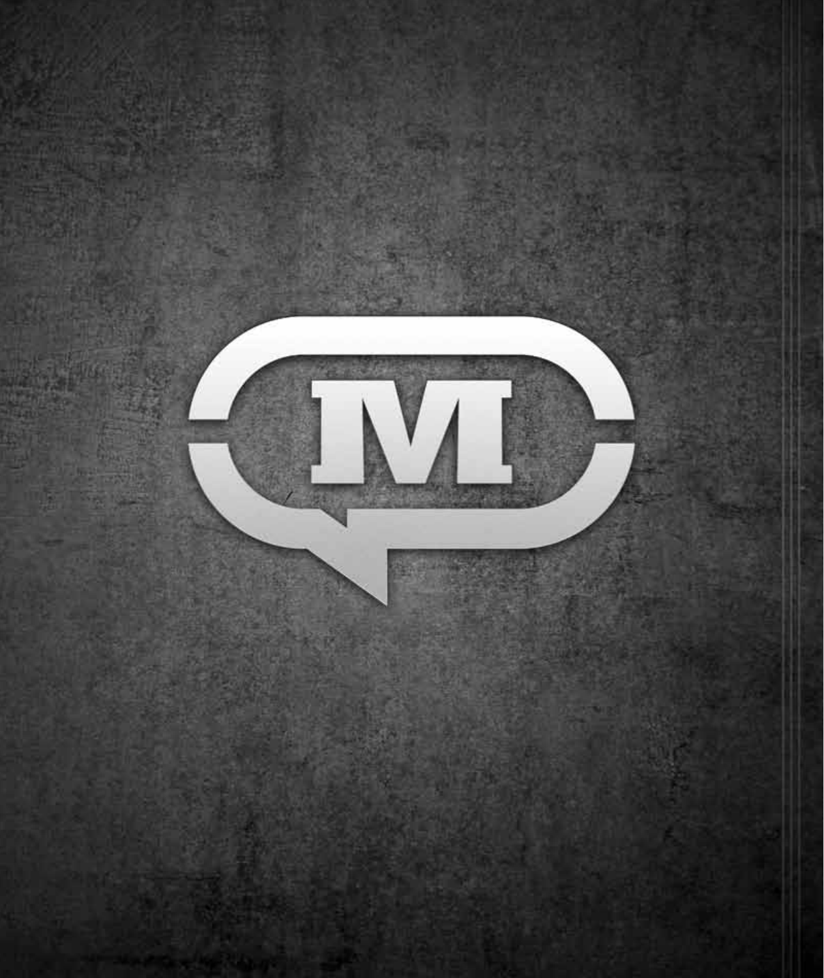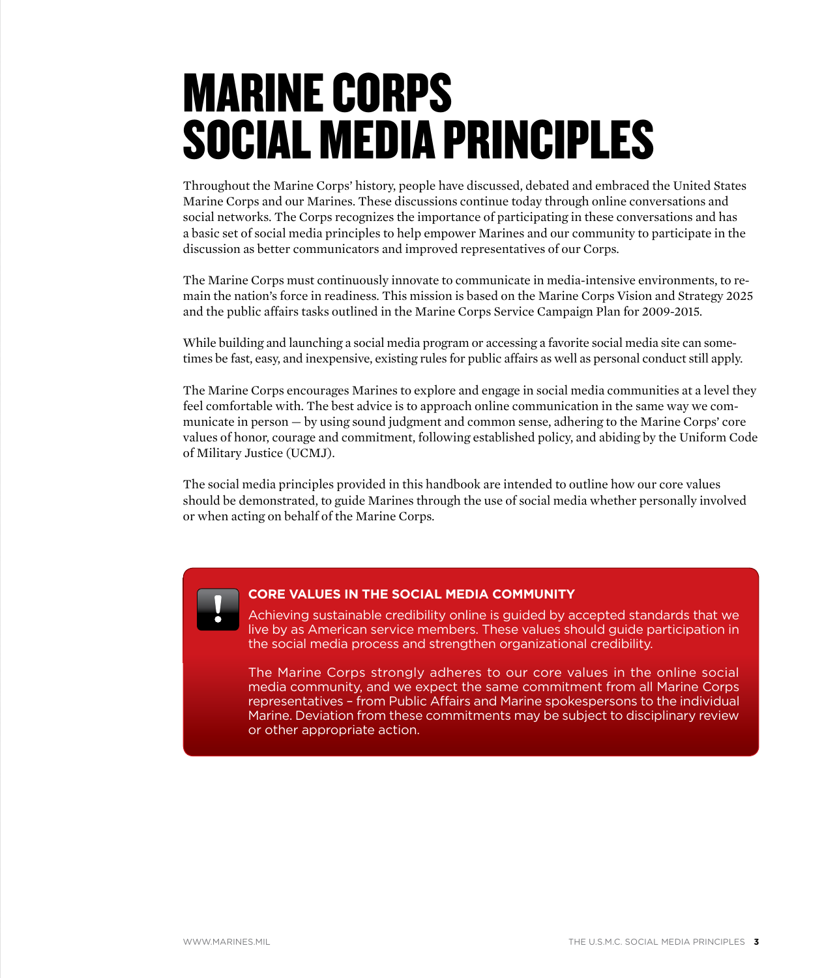## Marine Corps Social Media Principles

Throughout the Marine Corps' history, people have discussed, debated and embraced the United States Marine Corps and our Marines. These discussions continue today through online conversations and social networks. The Corps recognizes the importance of participating in these conversations and has a basic set of social media principles to help empower Marines and our community to participate in the discussion as better communicators and improved representatives of our Corps.

The Marine Corps must continuously innovate to communicate in media-intensive environments, to remain the nation's force in readiness. This mission is based on the Marine Corps Vision and Strategy 2025 and the public affairs tasks outlined in the Marine Corps Service Campaign Plan for 2009-2015.

While building and launching a social media program or accessing a favorite social media site can sometimes be fast, easy, and inexpensive, existing rules for public affairs as well as personal conduct still apply.

The Marine Corps encourages Marines to explore and engage in social media communities at a level they feel comfortable with. The best advice is to approach online communication in the same way we communicate in person — by using sound judgment and common sense, adhering to the Marine Corps' core values of honor, courage and commitment, following established policy, and abiding by the Uniform Code of Military Justice (UCMJ).

The social media principles provided in this handbook are intended to outline how our core values should be demonstrated, to guide Marines through the use of social media whether personally involved or when acting on behalf of the Marine Corps.

#### **Core values in the social media community**

Achieving sustainable credibility online is guided by accepted standards that we live by as American service members. These values should guide participation in the social media process and strengthen organizational credibility.

The Marine Corps strongly adheres to our core values in the online social media community, and we expect the same commitment from all Marine Corps representatives – from Public Affairs and Marine spokespersons to the individual Marine. Deviation from these commitments may be subject to disciplinary review or other appropriate action.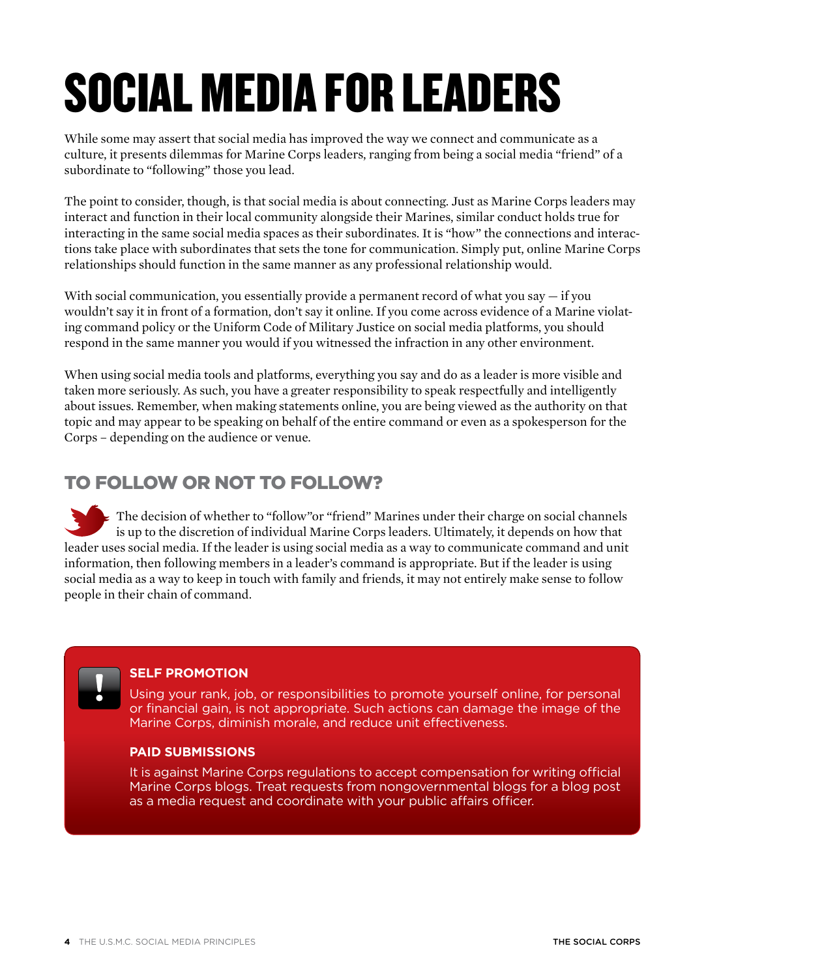# Social Media for Leaders

While some may assert that social media has improved the way we connect and communicate as a culture, it presents dilemmas for Marine Corps leaders, ranging from being a social media "friend" of a subordinate to "following" those you lead.

The point to consider, though, is that social media is about connecting. Just as Marine Corps leaders may interact and function in their local community alongside their Marines, similar conduct holds true for interacting in the same social media spaces as their subordinates. It is "how" the connections and interactions take place with subordinates that sets the tone for communication. Simply put, online Marine Corps relationships should function in the same manner as any professional relationship would.

With social communication, you essentially provide a permanent record of what you say  $-$  if you wouldn't say it in front of a formation, don't say it online. If you come across evidence of a Marine violating command policy or the Uniform Code of Military Justice on social media platforms, you should respond in the same manner you would if you witnessed the infraction in any other environment.

When using social media tools and platforms, everything you say and do as a leader is more visible and taken more seriously. As such, you have a greater responsibility to speak respectfully and intelligently about issues. Remember, when making statements online, you are being viewed as the authority on that topic and may appear to be speaking on behalf of the entire command or even as a spokesperson for the Corps – depending on the audience or venue.

## To follow or not to follow?

The decision of whether to "follow"or "friend" Marines under their charge on social channels is up to the discretion of individual Marine Corps leaders. Ultimately, it depends on how that leader uses social media. If the leader is using social media as a way to communicate command and unit information, then following members in a leader's command is appropriate. But if the leader is using social media as a way to keep in touch with family and friends, it may not entirely make sense to follow people in their chain of command.



#### **Self Promotion**

Using your rank, job, or responsibilities to promote yourself online, for personal or financial gain, is not appropriate. Such actions can damage the image of the Marine Corps, diminish morale, and reduce unit effectiveness.

#### **Paid Submissions**

It is against Marine Corps regulations to accept compensation for writing official Marine Corps blogs. Treat requests from nongovernmental blogs for a blog post as a media request and coordinate with your public affairs officer.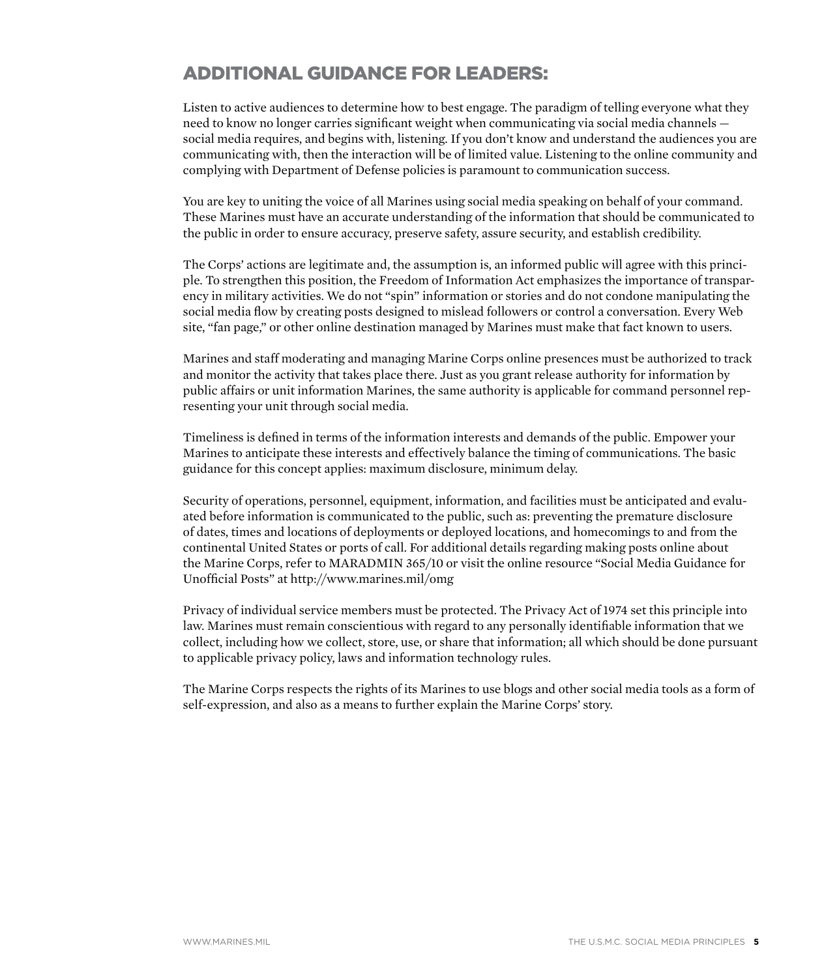### Additional guidance for leaders:

Listen to active audiences to determine how to best engage. The paradigm of telling everyone what they need to know no longer carries significant weight when communicating via social media channels social media requires, and begins with, listening. If you don't know and understand the audiences you are communicating with, then the interaction will be of limited value. Listening to the online community and complying with Department of Defense policies is paramount to communication success.

You are key to uniting the voice of all Marines using social media speaking on behalf of your command. These Marines must have an accurate understanding of the information that should be communicated to the public in order to ensure accuracy, preserve safety, assure security, and establish credibility.

The Corps' actions are legitimate and, the assumption is, an informed public will agree with this principle. To strengthen this position, the Freedom of Information Act emphasizes the importance of transparency in military activities. We do not "spin" information or stories and do not condone manipulating the social media flow by creating posts designed to mislead followers or control a conversation. Every Web site, "fan page," or other online destination managed by Marines must make that fact known to users.

Marines and staff moderating and managing Marine Corps online presences must be authorized to track and monitor the activity that takes place there. Just as you grant release authority for information by public affairs or unit information Marines, the same authority is applicable for command personnel representing your unit through social media.

Timeliness is defined in terms of the information interests and demands of the public. Empower your Marines to anticipate these interests and effectively balance the timing of communications. The basic guidance for this concept applies: maximum disclosure, minimum delay.

Security of operations, personnel, equipment, information, and facilities must be anticipated and evaluated before information is communicated to the public, such as: preventing the premature disclosure of dates, times and locations of deployments or deployed locations, and homecomings to and from the continental United States or ports of call. For additional details regarding making posts online about the Marine Corps, refer to MARADMIN 365/10 or visit the online resource "Social Media Guidance for Unofficial Posts" at http://www.marines.mil/omg

Privacy of individual service members must be protected. The Privacy Act of 1974 set this principle into law. Marines must remain conscientious with regard to any personally identifiable information that we collect, including how we collect, store, use, or share that information; all which should be done pursuant to applicable privacy policy, laws and information technology rules.

The Marine Corps respects the rights of its Marines to use blogs and other social media tools as a form of self-expression, and also as a means to further explain the Marine Corps' story.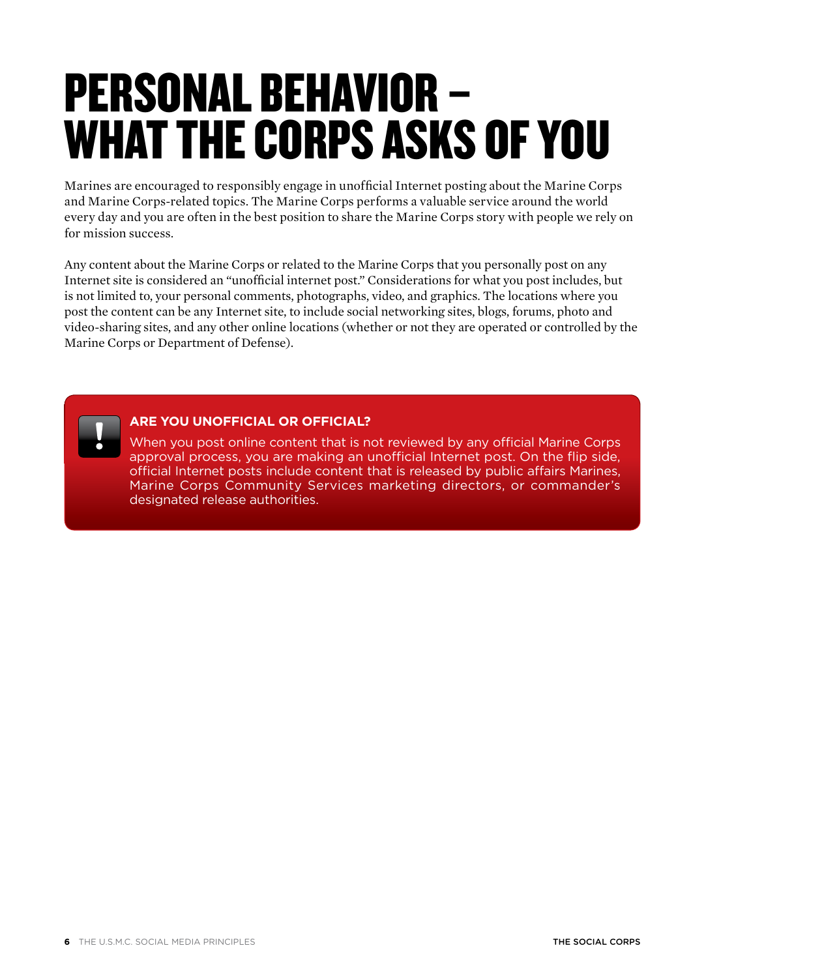## Personal behavior – WHAT THE CORPS ASKS OF YOU

Marines are encouraged to responsibly engage in unofficial Internet posting about the Marine Corps and Marine Corps-related topics. The Marine Corps performs a valuable service around the world every day and you are often in the best position to share the Marine Corps story with people we rely on for mission success.

Any content about the Marine Corps or related to the Marine Corps that you personally post on any Internet site is considered an "unofficial internet post." Considerations for what you post includes, but is not limited to, your personal comments, photographs, video, and graphics. The locations where you post the content can be any Internet site, to include social networking sites, blogs, forums, photo and video-sharing sites, and any other online locations (whether or not they are operated or controlled by the Marine Corps or Department of Defense).



#### **Are you Unofficial or Official?**

When you post online content that is not reviewed by any official Marine Corps approval process, you are making an unofficial Internet post. On the flip side, official Internet posts include content that is released by public affairs Marines, Marine Corps Community Services marketing directors, or commander's designated release authorities.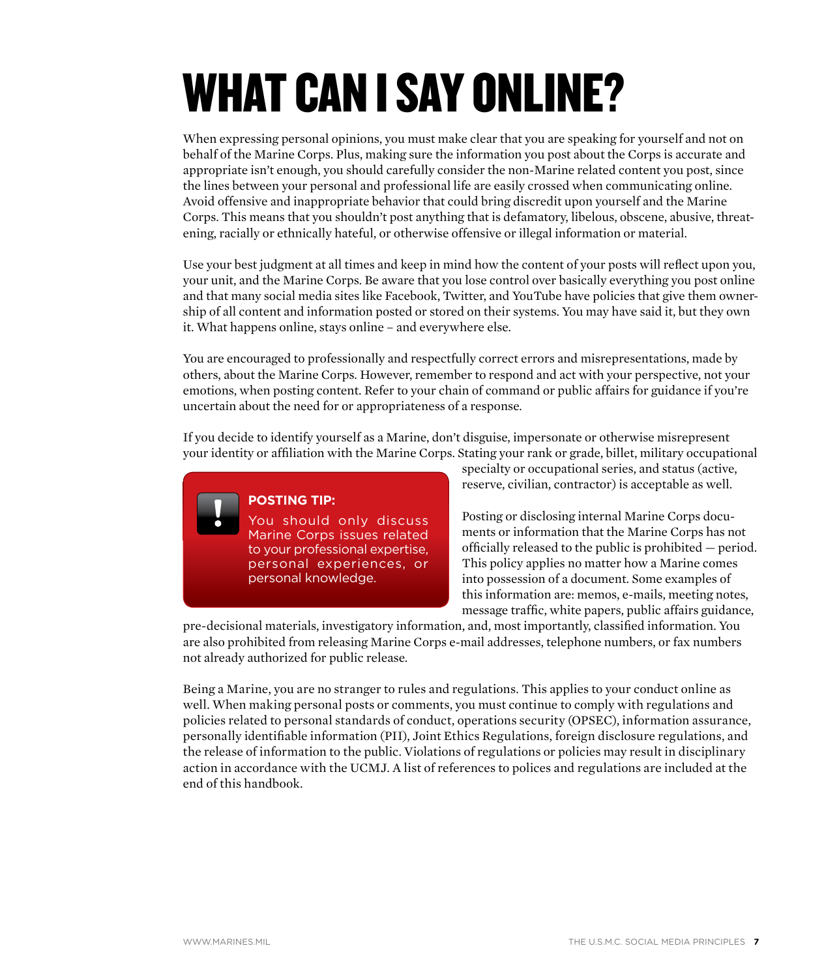# What can I say online?

When expressing personal opinions, you must make clear that you are speaking for yourself and not on behalf of the Marine Corps. Plus, making sure the information you post about the Corps is accurate and appropriate isn't enough, you should carefully consider the non-Marine related content you post, since the lines between your personal and professional life are easily crossed when communicating online. Avoid offensive and inappropriate behavior that could bring discredit upon yourself and the Marine Corps. This means that you shouldn't post anything that is defamatory, libelous, obscene, abusive, threatening, racially or ethnically hateful, or otherwise offensive or illegal information or material.

Use your best judgment at all times and keep in mind how the content of your posts will reflect upon you, your unit, and the Marine Corps. Be aware that you lose control over basically everything you post online and that many social media sites like Facebook, Twitter, and YouTube have policies that give them ownership of all content and information posted or stored on their systems. You may have said it, but they own it. What happens online, stays online – and everywhere else.

You are encouraged to professionally and respectfully correct errors and misrepresentations, made by others, about the Marine Corps. However, remember to respond and act with your perspective, not your emotions, when posting content. Refer to your chain of command or public affairs for guidance if you're uncertain about the need for or appropriateness of a response.

If you decide to identify yourself as a Marine, don't disguise, impersonate or otherwise misrepresent your identity or affiliation with the Marine Corps. Stating your rank or grade, billet, military occupational



You should only discuss Marine Corps issues related to your professional expertise, personal experiences, or personal knowledge.

specialty or occupational series, and status (active, reserve, civilian, contractor) is acceptable as well.

Posting or disclosing internal Marine Corps documents or information that the Marine Corps has not officially released to the public is prohibited — period. This policy applies no matter how a Marine comes into possession of a document. Some examples of this information are: memos, e-mails, meeting notes, message traffic, white papers, public affairs guidance,

pre-decisional materials, investigatory information, and, most importantly, classified information. You are also prohibited from releasing Marine Corps e-mail addresses, telephone numbers, or fax numbers not already authorized for public release.

Being a Marine, you are no stranger to rules and regulations. This applies to your conduct online as well. When making personal posts or comments, you must continue to comply with regulations and policies related to personal standards of conduct, operations security (OPSEC), information assurance, personally identifiable information (PII), Joint Ethics Regulations, foreign disclosure regulations, and the release of information to the public. Violations of regulations or policies may result in disciplinary action in accordance with the UCMJ. A list of references to polices and regulations are included at the end of this handbook.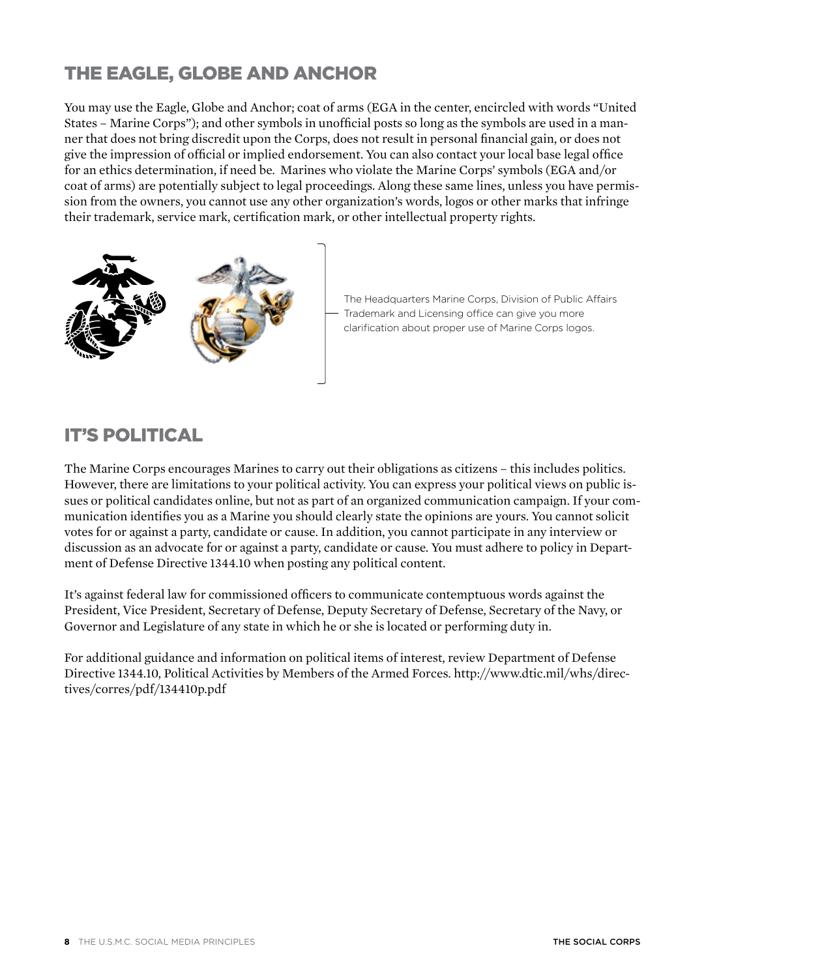## THE EAGLE, GLOBE AND ANCHOR

You may use the Eagle, Globe and Anchor; coat of arms (EGA in the center, encircled with words "United States – Marine Corps"); and other symbols in unofficial posts so long as the symbols are used in a manner that does not bring discredit upon the Corps, does not result in personal financial gain, or does not give the impression of official or implied endorsement. You can also contact your local base legal office for an ethics determination, if need be. Marines who violate the Marine Corps' symbols (EGA and/or coat of arms) are potentially subject to legal proceedings. Along these same lines, unless you have permission from the owners, you cannot use any other organization's words, logos or other marks that infringe their trademark, service mark, certification mark, or other intellectual property rights.



The Headquarters Marine Corps, Division of Public Affairs Trademark and Licensing office can give you more clarification about proper use of Marine Corps logos.

## It's Political

The Marine Corps encourages Marines to carry out their obligations as citizens – this includes politics. However, there are limitations to your political activity. You can express your political views on public issues or political candidates online, but not as part of an organized communication campaign. If your communication identifies you as a Marine you should clearly state the opinions are yours. You cannot solicit votes for or against a party, candidate or cause. In addition, you cannot participate in any interview or discussion as an advocate for or against a party, candidate or cause. You must adhere to policy in Department of Defense Directive 1344.10 when posting any political content.

It's against federal law for commissioned officers to communicate contemptuous words against the President, Vice President, Secretary of Defense, Deputy Secretary of Defense, Secretary of the Navy, or Governor and Legislature of any state in which he or she is located or performing duty in.

For additional guidance and information on political items of interest, review Department of Defense Directive 1344.10, Political Activities by Members of the Armed Forces. http://www.dtic.mil/whs/directives/corres/pdf/134410p.pdf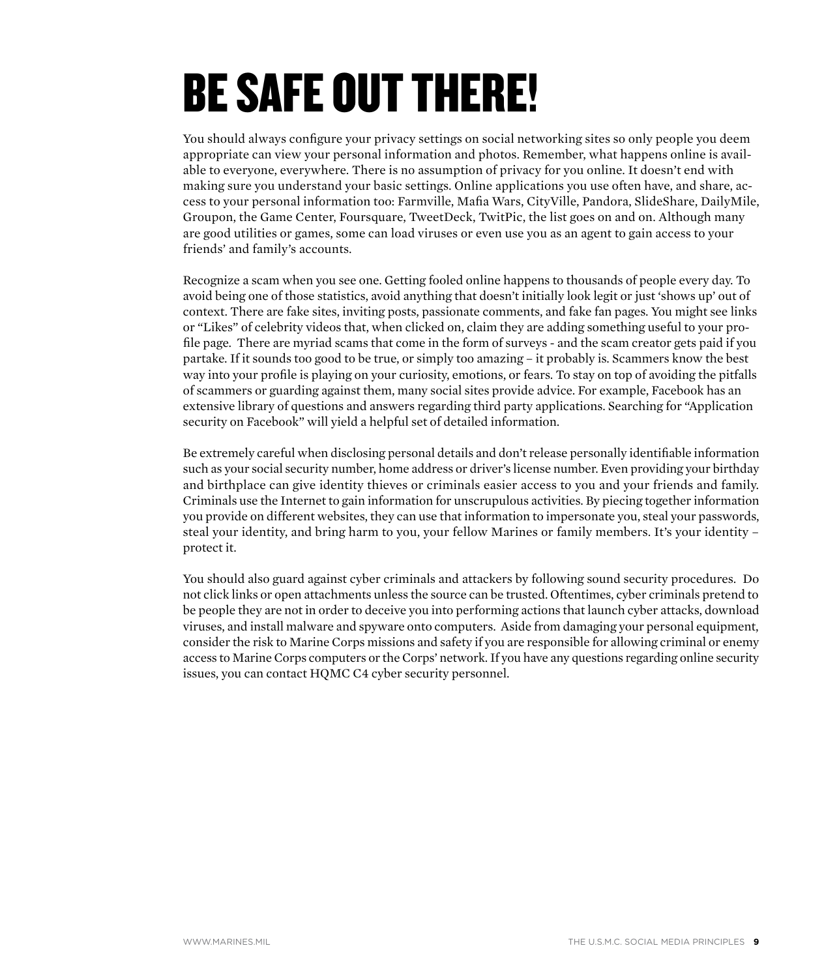# Be Safe Out There!

You should always configure your privacy settings on social networking sites so only people you deem appropriate can view your personal information and photos. Remember, what happens online is available to everyone, everywhere. There is no assumption of privacy for you online. It doesn't end with making sure you understand your basic settings. Online applications you use often have, and share, access to your personal information too: Farmville, Mafia Wars, CityVille, Pandora, SlideShare, DailyMile, Groupon, the Game Center, Foursquare, TweetDeck, TwitPic, the list goes on and on. Although many are good utilities or games, some can load viruses or even use you as an agent to gain access to your friends' and family's accounts.

Recognize a scam when you see one. Getting fooled online happens to thousands of people every day. To avoid being one of those statistics, avoid anything that doesn't initially look legit or just 'shows up' out of context. There are fake sites, inviting posts, passionate comments, and fake fan pages. You might see links or "Likes" of celebrity videos that, when clicked on, claim they are adding something useful to your profile page. There are myriad scams that come in the form of surveys - and the scam creator gets paid if you partake. If it sounds too good to be true, or simply too amazing – it probably is. Scammers know the best way into your profile is playing on your curiosity, emotions, or fears. To stay on top of avoiding the pitfalls of scammers or guarding against them, many social sites provide advice. For example, Facebook has an extensive library of questions and answers regarding third party applications. Searching for "Application security on Facebook" will yield a helpful set of detailed information.

Be extremely careful when disclosing personal details and don't release personally identifiable information such as your social security number, home address or driver's license number. Even providing your birthday and birthplace can give identity thieves or criminals easier access to you and your friends and family. Criminals use the Internet to gain information for unscrupulous activities. By piecing together information you provide on different websites, they can use that information to impersonate you, steal your passwords, steal your identity, and bring harm to you, your fellow Marines or family members. It's your identity – protect it.

You should also guard against cyber criminals and attackers by following sound security procedures. Do not click links or open attachments unless the source can be trusted. Oftentimes, cyber criminals pretend to be people they are not in order to deceive you into performing actions that launch cyber attacks, download viruses, and install malware and spyware onto computers. Aside from damaging your personal equipment, consider the risk to Marine Corps missions and safety if you are responsible for allowing criminal or enemy access to Marine Corps computers or the Corps' network. If you have any questions regarding online security issues, you can contact HQMC C4 cyber security personnel.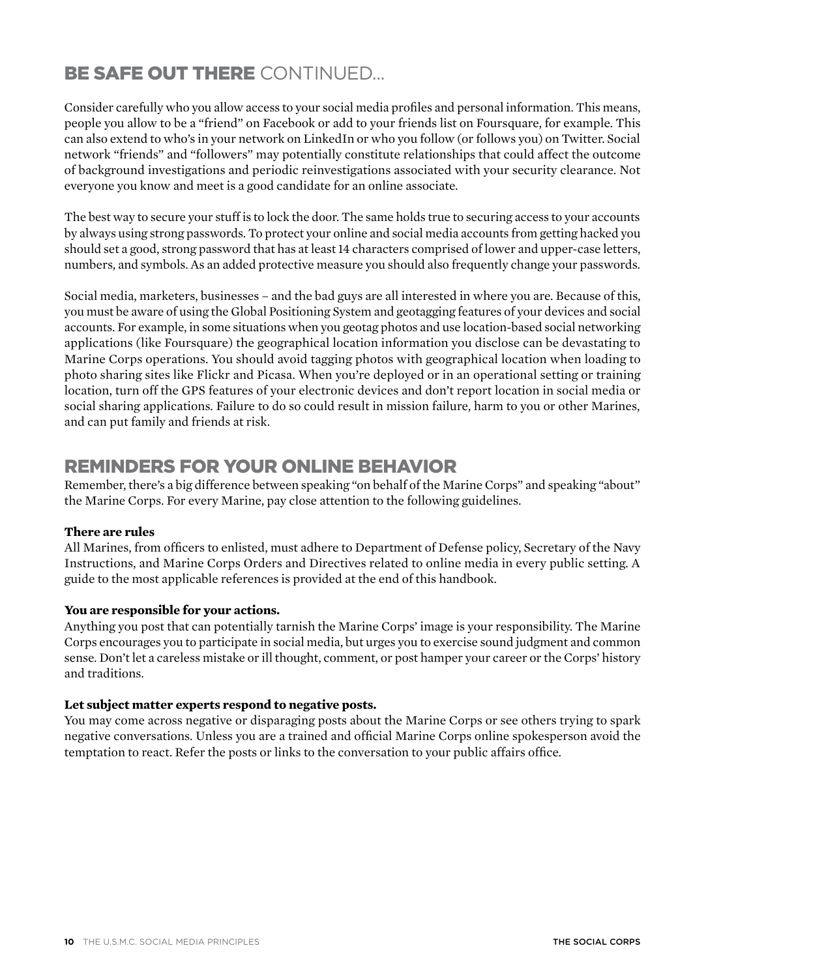## BE SAFE OUT THERE CONTINUED...

Consider carefully who you allow access to your social media profiles and personal information. This means, people you allow to be a "friend" on Facebook or add to your friends list on Foursquare, for example. This can also extend to who's in your network on LinkedIn or who you follow (or follows you) on Twitter. Social network "friends" and "followers" may potentially constitute relationships that could affect the outcome of background investigations and periodic reinvestigations associated with your security clearance. Not everyone you know and meet is a good candidate for an online associate.

The best way to secure your stuff is to lock the door. The same holds true to securing access to your accounts by always using strong passwords. To protect your online and social media accounts from getting hacked you should set a good, strong password that has at least 14 characters comprised of lower and upper-case letters, numbers, and symbols. As an added protective measure you should also frequently change your passwords.

Social media, marketers, businesses – and the bad guys are all interested in where you are. Because of this, you must be aware of using the Global Positioning System and geotagging features of your devices and social accounts. For example, in some situations when you geotag photos and use location-based social networking applications (like Foursquare) the geographical location information you disclose can be devastating to Marine Corps operations. You should avoid tagging photos with geographical location when loading to photo sharing sites like Flickr and Picasa. When you're deployed or in an operational setting or training location, turn off the GPS features of your electronic devices and don't report location in social media or social sharing applications. Failure to do so could result in mission failure, harm to you or other Marines, and can put family and friends at risk.

### Reminders for your online behavior

Remember, there's a big difference between speaking "on behalf of the Marine Corps" and speaking "about" the Marine Corps. For every Marine, pay close attention to the following guidelines.

#### **There are rules**

All Marines, from officers to enlisted, must adhere to Department of Defense policy, Secretary of the Navy Instructions, and Marine Corps Orders and Directives related to online media in every public setting. A guide to the most applicable references is provided at the end of this handbook.

#### **You are responsible for your actions.**

Anything you post that can potentially tarnish the Marine Corps' image is your responsibility. The Marine Corps encourages you to participate in social media, but urges you to exercise sound judgment and common sense. Don't let a careless mistake or ill thought, comment, or post hamper your career or the Corps' history and traditions.

#### **Let subject matter experts respond to negative posts.**

You may come across negative or disparaging posts about the Marine Corps or see others trying to spark negative conversations. Unless you are a trained and official Marine Corps online spokesperson avoid the temptation to react. Refer the posts or links to the conversation to your public affairs office.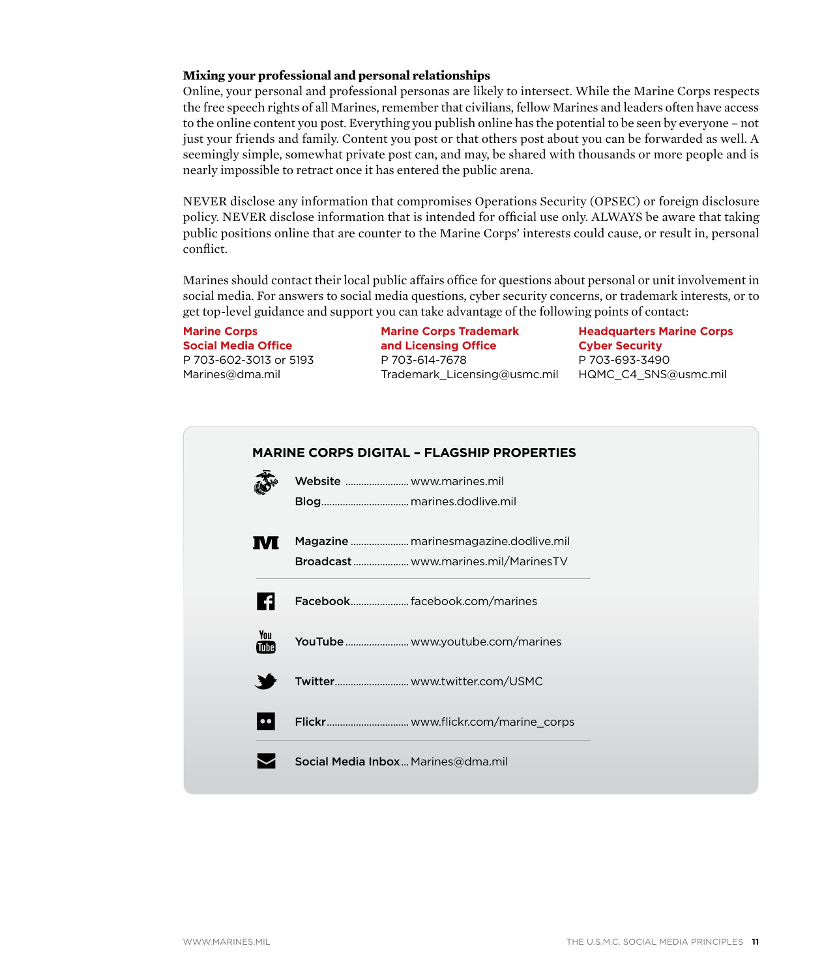#### **Mixing your professional and personal relationships**

Online, your personal and professional personas are likely to intersect. While the Marine Corps respects the free speech rights of all Marines, remember that civilians, fellow Marines and leaders often have access to the online content you post. Everything you publish online has the potential to be seen by everyone – not just your friends and family. Content you post or that others post about you can be forwarded as well. A seemingly simple, somewhat private post can, and may, be shared with thousands or more people and is nearly impossible to retract once it has entered the public arena.

NEVER disclose any information that compromises Operations Security (OPSEC) or foreign disclosure policy. NEVER disclose information that is intended for official use only. ALWAYS be aware that taking public positions online that are counter to the Marine Corps' interests could cause, or result in, personal conflict.

Marines should contact their local public affairs office for questions about personal or unit involvement in social media. For answers to social media questions, cyber security concerns, or trademark interests, or to get top-level guidance and support you can take advantage of the following points of contact:

**Marine Corps Social Media Office**  P 703-602-3013 or 5193 Marines@dma.mil

**Marine Corps Trademark and Licensing Office** P 703-614-7678 Trademark\_Licensing@usmc.mil

**Headquarters Marine Corps Cyber Security** P 703-693-3490 HQMC\_C4\_SNS@usmc.mil

|                  | <b>MARINE CORPS DIGITAL - FLAGSHIP PROPERTIES</b><br>Website  www.marines.mil |
|------------------|-------------------------------------------------------------------------------|
| M                | Broadcast  www.marines.mil/MarinesTV                                          |
|                  |                                                                               |
| You<br>l Tubel   |                                                                               |
|                  |                                                                               |
| $\bullet\bullet$ |                                                                               |
|                  | Social Media Inbox Marines@dma.mil                                            |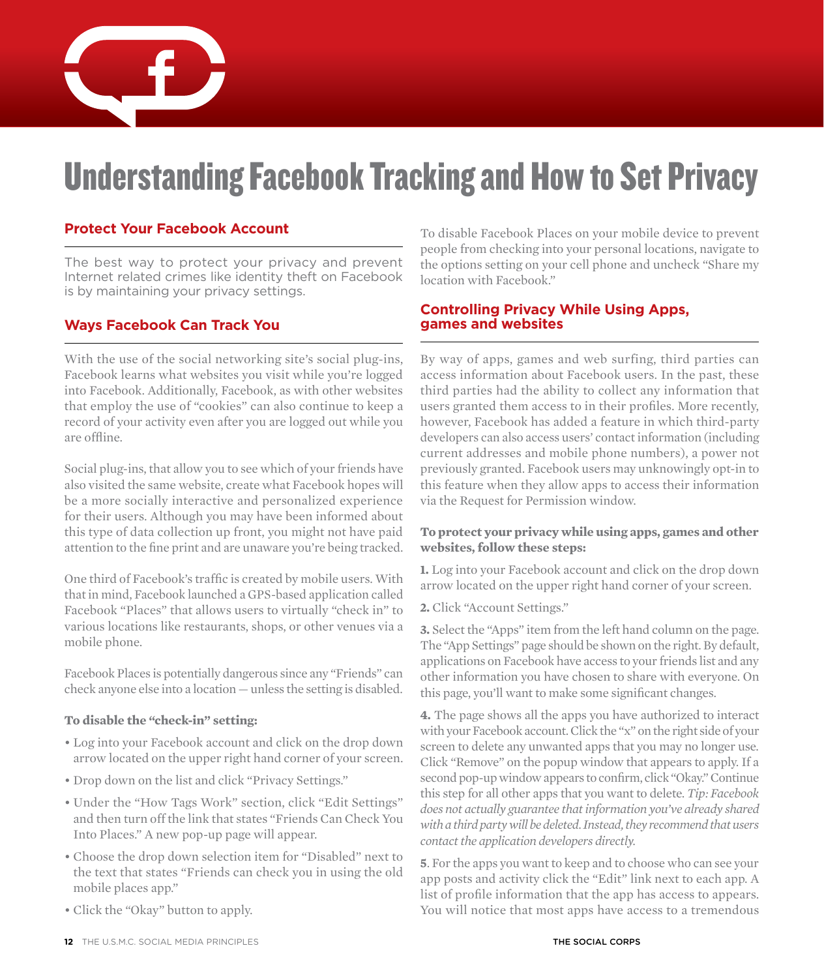

## Understanding Facebook Tracking and How to Set Privacy

#### **Protect Your Facebook Account**

The best way to protect your privacy and prevent Internet related crimes like identity theft on Facebook is by maintaining your privacy settings.

#### **Ways Facebook Can Track You**

With the use of the social networking site's social plug-ins, Facebook learns what websites you visit while you're logged into Facebook. Additionally, Facebook, as with other websites that employ the use of "cookies" can also continue to keep a record of your activity even after you are logged out while you are offline.

Social plug-ins, that allow you to see which of your friends have also visited the same website, create what Facebook hopes will be a more socially interactive and personalized experience for their users. Although you may have been informed about this type of data collection up front, you might not have paid attention to the fine print and are unaware you're being tracked.

One third of Facebook's traffic is created by mobile users. With that in mind, Facebook launched a GPS-based application called Facebook "Places" that allows users to virtually "check in" to various locations like restaurants, shops, or other venues via a mobile phone.

Facebook Places is potentially dangerous since any "Friends" can check anyone else into a location — unless the setting is disabled.

#### **To disable the "check-in" setting:**

- Log into your Facebook account and click on the drop down arrow located on the upper right hand corner of your screen.
- Drop down on the list and click "Privacy Settings."
- Under the "How Tags Work" section, click "Edit Settings" and then turn off the link that states "Friends Can Check You Into Places." A new pop-up page will appear.
- Choose the drop down selection item for "Disabled" next to the text that states "Friends can check you in using the old mobile places app."
- Click the "Okay" button to apply.

To disable Facebook Places on your mobile device to prevent people from checking into your personal locations, navigate to the options setting on your cell phone and uncheck "Share my location with Facebook."

#### **Controlling Privacy While Using Apps, games and websites**

By way of apps, games and web surfing, third parties can access information about Facebook users. In the past, these third parties had the ability to collect any information that users granted them access to in their profiles. More recently, however, Facebook has added a feature in which third-party developers can also access users' contact information (including current addresses and mobile phone numbers), a power not previously granted. Facebook users may unknowingly opt-in to this feature when they allow apps to access their information via the Request for Permission window.

#### **To protect your privacy while using apps, games and other websites, follow these steps:**

**1.** Log into your Facebook account and click on the drop down arrow located on the upper right hand corner of your screen.

**2.** Click "Account Settings."

**3.** Select the "Apps" item from the left hand column on the page. The "App Settings" page should be shown on the right. By default, applications on Facebook have access to your friends list and any other information you have chosen to share with everyone. On this page, you'll want to make some significant changes.

**4.** The page shows all the apps you have authorized to interact with your Facebook account. Click the "x" on the right side of your screen to delete any unwanted apps that you may no longer use. Click "Remove" on the popup window that appears to apply. If a second pop-up window appears to confirm, click "Okay." Continue this step for all other apps that you want to delete. *Tip: Facebook does not actually guarantee that information you've already shared with a third party will be deleted. Instead, they recommend that users contact the application developers directly.*

**5**. For the apps you want to keep and to choose who can see your app posts and activity click the "Edit" link next to each app. A list of profile information that the app has access to appears. You will notice that most apps have access to a tremendous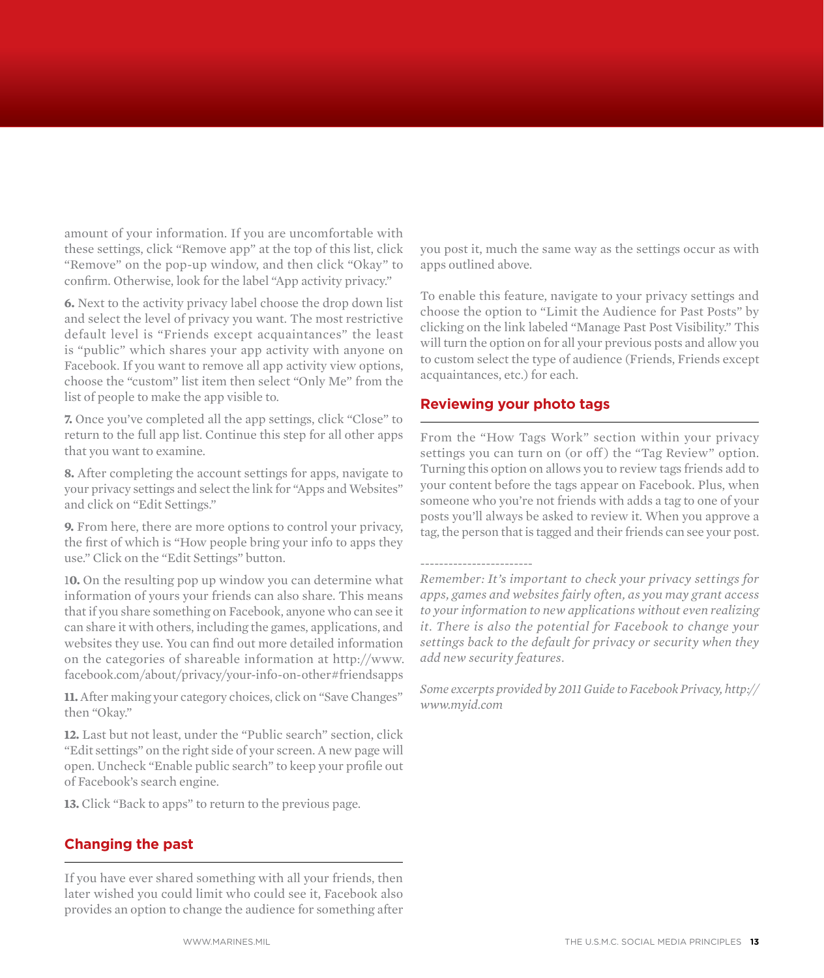amount of your information. If you are uncomfortable with these settings, click "Remove app" at the top of this list, click "Remove" on the pop-up window, and then click "Okay" to confirm. Otherwise, look for the label "App activity privacy."

**6.** Next to the activity privacy label choose the drop down list and select the level of privacy you want. The most restrictive default level is "Friends except acquaintances" the least is "public" which shares your app activity with anyone on Facebook. If you want to remove all app activity view options, choose the "custom" list item then select "Only Me" from the list of people to make the app visible to.

**7.** Once you've completed all the app settings, click "Close" to return to the full app list. Continue this step for all other apps that you want to examine.

**8.** After completing the account settings for apps, navigate to your privacy settings and select the link for "Apps and Websites" and click on "Edit Settings."

**9.** From here, there are more options to control your privacy, the first of which is "How people bring your info to apps they use." Click on the "Edit Settings" button.

1**0.** On the resulting pop up window you can determine what information of yours your friends can also share. This means that if you share something on Facebook, anyone who can see it can share it with others, including the games, applications, and websites they use. You can find out more detailed information on the categories of shareable information at http://www. facebook.com/about/privacy/your-info-on-other#friendsapps

**11.** After making your category choices, click on "Save Changes" then "Okay."

**12.** Last but not least, under the "Public search" section, click "Edit settings" on the right side of your screen. A new page will open. Uncheck "Enable public search" to keep your profile out of Facebook's search engine.

**13.** Click "Back to apps" to return to the previous page.

#### **Changing the past**

If you have ever shared something with all your friends, then later wished you could limit who could see it, Facebook also provides an option to change the audience for something after

you post it, much the same way as the settings occur as with apps outlined above.

To enable this feature, navigate to your privacy settings and choose the option to "Limit the Audience for Past Posts" by clicking on the link labeled "Manage Past Post Visibility." This will turn the option on for all your previous posts and allow you to custom select the type of audience (Friends, Friends except acquaintances, etc.) for each.

#### **Reviewing your photo tags**

From the "How Tags Work" section within your privacy settings you can turn on (or off) the "Tag Review" option. Turning this option on allows you to review tags friends add to your content before the tags appear on Facebook. Plus, when someone who you're not friends with adds a tag to one of your posts you'll always be asked to review it. When you approve a tag, the person that is tagged and their friends can see your post.

------------------------ *Remember: It's important to check your privacy settings for apps, games and websites fairly often, as you may grant access to your information to new applications without even realizing it. There is also the potential for Facebook to change your settings back to the default for privacy or security when they add new security features.*

*Some excerpts provided by 2011 Guide to Facebook Privacy, http:// www.myid.com*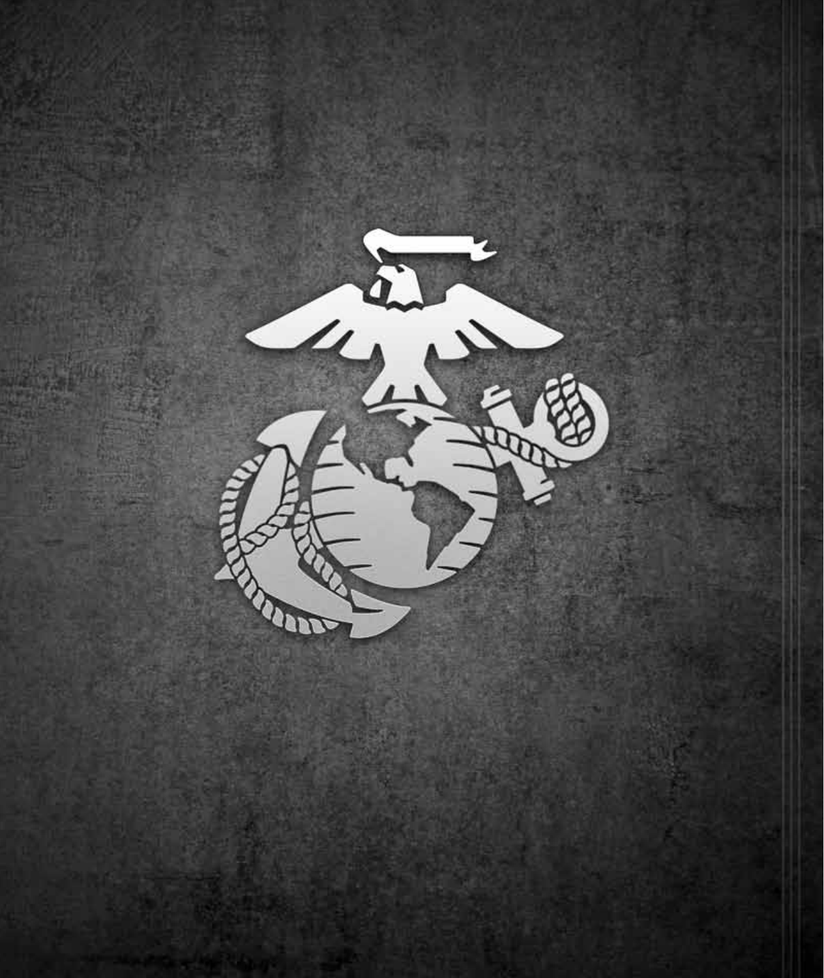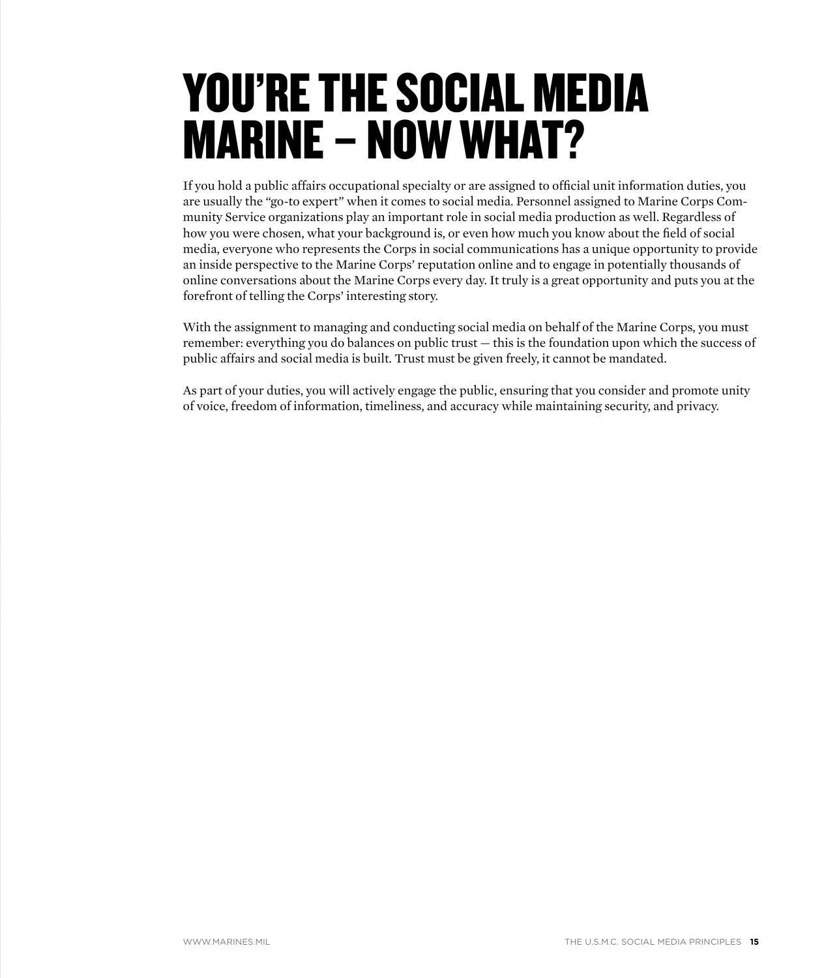## YOU'RE THE SOCIAL MEDIA **MARINE – NOW WHAT?**

If you hold a public affairs occupational specialty or are assigned to official unit information duties, you are usually the "go-to expert" when it comes to social media. Personnel assigned to Marine Corps Community Service organizations play an important role in social media production as well. Regardless of how you were chosen, what your background is, or even how much you know about the field of social media, everyone who represents the Corps in social communications has a unique opportunity to provide an inside perspective to the Marine Corps' reputation online and to engage in potentially thousands of online conversations about the Marine Corps every day. It truly is a great opportunity and puts you at the forefront of telling the Corps' interesting story.

With the assignment to managing and conducting social media on behalf of the Marine Corps, you must remember: everything you do balances on public trust — this is the foundation upon which the success of public affairs and social media is built. Trust must be given freely, it cannot be mandated.

As part of your duties, you will actively engage the public, ensuring that you consider and promote unity of voice, freedom of information, timeliness, and accuracy while maintaining security, and privacy.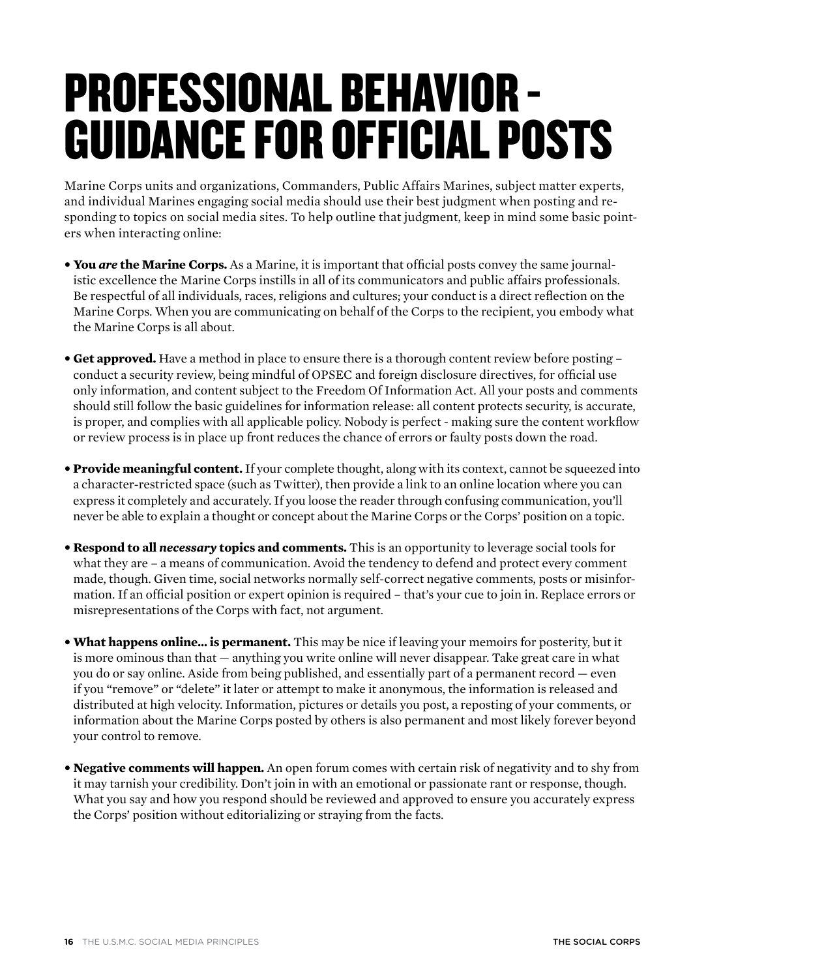## Professional Behavior - **GUIDANCE FOR OFFICIAL POSTS**

Marine Corps units and organizations, Commanders, Public Affairs Marines, subject matter experts, and individual Marines engaging social media should use their best judgment when posting and responding to topics on social media sites. To help outline that judgment, keep in mind some basic pointers when interacting online:

- **You** *are* **the Marine Corps.** As a Marine, it is important that official posts convey the same journalistic excellence the Marine Corps instills in all of its communicators and public affairs professionals. Be respectful of all individuals, races, religions and cultures; your conduct is a direct reflection on the Marine Corps. When you are communicating on behalf of the Corps to the recipient, you embody what the Marine Corps is all about.
- **Get approved.** Have a method in place to ensure there is a thorough content review before posting conduct a security review, being mindful of OPSEC and foreign disclosure directives, for official use only information, and content subject to the Freedom Of Information Act. All your posts and comments should still follow the basic guidelines for information release: all content protects security, is accurate, is proper, and complies with all applicable policy. Nobody is perfect - making sure the content workflow or review process is in place up front reduces the chance of errors or faulty posts down the road.
- **Provide meaningful content.** If your complete thought, along with its context, cannot be squeezed into a character-restricted space (such as Twitter), then provide a link to an online location where you can express it completely and accurately. If you loose the reader through confusing communication, you'll never be able to explain a thought or concept about the Marine Corps or the Corps' position on a topic.
- **Respond to all** *necessary* **topics and comments.** This is an opportunity to leverage social tools for what they are – a means of communication. Avoid the tendency to defend and protect every comment made, though. Given time, social networks normally self-correct negative comments, posts or misinformation. If an official position or expert opinion is required – that's your cue to join in. Replace errors or misrepresentations of the Corps with fact, not argument.
- **What happens online… is permanent.** This may be nice if leaving your memoirs for posterity, but it is more ominous than that — anything you write online will never disappear. Take great care in what you do or say online. Aside from being published, and essentially part of a permanent record — even if you "remove" or "delete" it later or attempt to make it anonymous, the information is released and distributed at high velocity. Information, pictures or details you post, a reposting of your comments, or information about the Marine Corps posted by others is also permanent and most likely forever beyond your control to remove.
- **Negative comments will happen.** An open forum comes with certain risk of negativity and to shy from it may tarnish your credibility. Don't join in with an emotional or passionate rant or response, though. What you say and how you respond should be reviewed and approved to ensure you accurately express the Corps' position without editorializing or straying from the facts.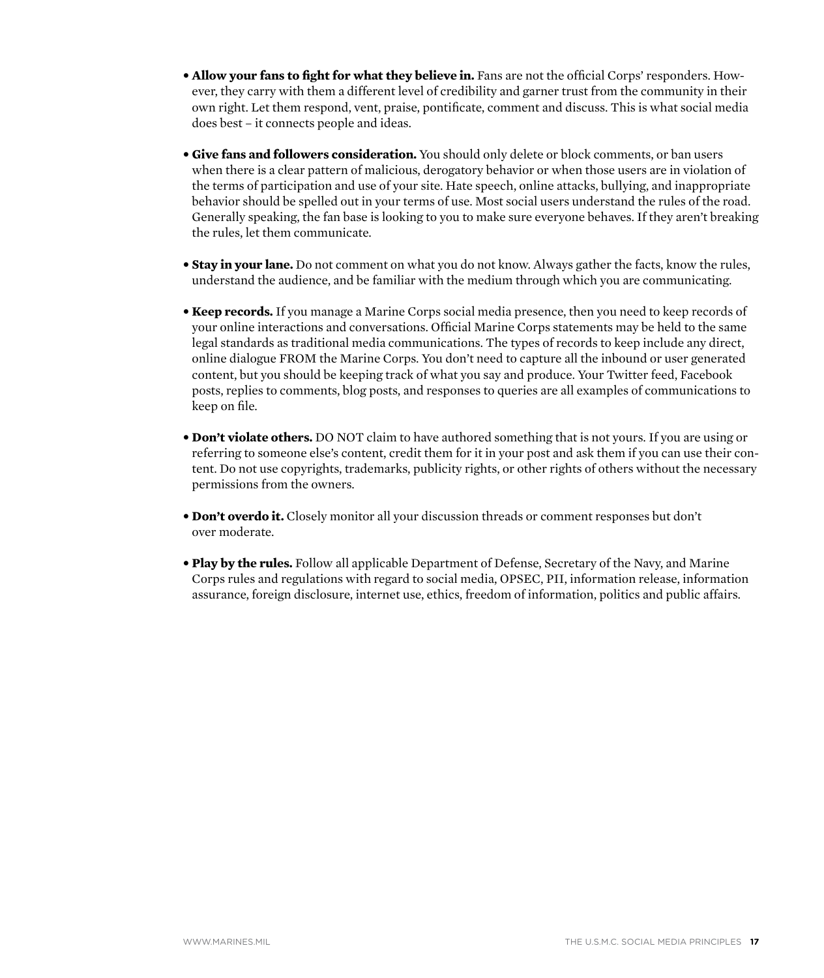- **Allow your fans to fight for what they believe in.** Fans are not the official Corps' responders. However, they carry with them a different level of credibility and garner trust from the community in their own right. Let them respond, vent, praise, pontificate, comment and discuss. This is what social media does best – it connects people and ideas.
- **Give fans and followers consideration.** You should only delete or block comments, or ban users when there is a clear pattern of malicious, derogatory behavior or when those users are in violation of the terms of participation and use of your site. Hate speech, online attacks, bullying, and inappropriate behavior should be spelled out in your terms of use. Most social users understand the rules of the road. Generally speaking, the fan base is looking to you to make sure everyone behaves. If they aren't breaking the rules, let them communicate.
- **Stay in your lane.** Do not comment on what you do not know. Always gather the facts, know the rules, understand the audience, and be familiar with the medium through which you are communicating.
- **Keep records.** If you manage a Marine Corps social media presence, then you need to keep records of your online interactions and conversations. Official Marine Corps statements may be held to the same legal standards as traditional media communications. The types of records to keep include any direct, online dialogue FROM the Marine Corps. You don't need to capture all the inbound or user generated content, but you should be keeping track of what you say and produce. Your Twitter feed, Facebook posts, replies to comments, blog posts, and responses to queries are all examples of communications to keep on file.
- **Don't violate others.** DO NOT claim to have authored something that is not yours. If you are using or referring to someone else's content, credit them for it in your post and ask them if you can use their content. Do not use copyrights, trademarks, publicity rights, or other rights of others without the necessary permissions from the owners.
- **Don't overdo it.** Closely monitor all your discussion threads or comment responses but don't over moderate.
- **Play by the rules.** Follow all applicable Department of Defense, Secretary of the Navy, and Marine Corps rules and regulations with regard to social media, OPSEC, PII, information release, information assurance, foreign disclosure, internet use, ethics, freedom of information, politics and public affairs.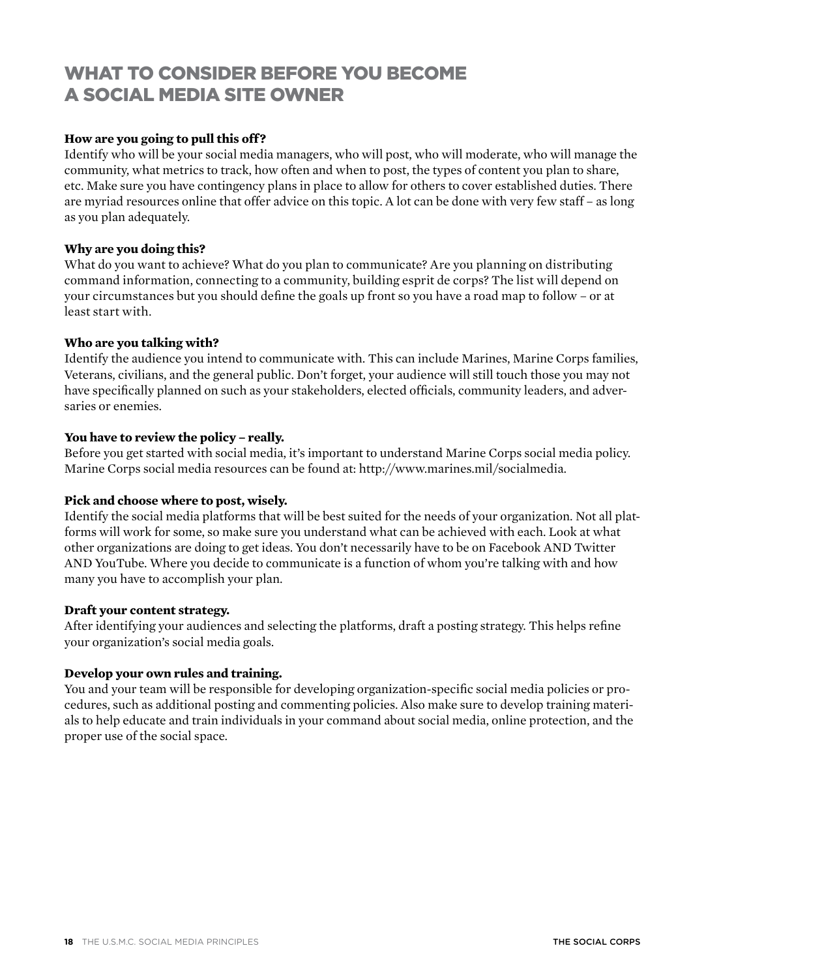## What to consider BEFORE you become a social media site owner

#### **How are you going to pull this off?**

Identify who will be your social media managers, who will post, who will moderate, who will manage the community, what metrics to track, how often and when to post, the types of content you plan to share, etc. Make sure you have contingency plans in place to allow for others to cover established duties. There are myriad resources online that offer advice on this topic. A lot can be done with very few staff – as long as you plan adequately.

#### **Why are you doing this?**

What do you want to achieve? What do you plan to communicate? Are you planning on distributing command information, connecting to a community, building esprit de corps? The list will depend on your circumstances but you should define the goals up front so you have a road map to follow – or at least start with.

#### **Who are you talking with?**

Identify the audience you intend to communicate with. This can include Marines, Marine Corps families, Veterans, civilians, and the general public. Don't forget, your audience will still touch those you may not have specifically planned on such as your stakeholders, elected officials, community leaders, and adversaries or enemies.

#### **You have to review the policy – really.**

Before you get started with social media, it's important to understand Marine Corps social media policy. Marine Corps social media resources can be found at: http://www.marines.mil/socialmedia.

#### **Pick and choose where to post, wisely.**

Identify the social media platforms that will be best suited for the needs of your organization. Not all platforms will work for some, so make sure you understand what can be achieved with each. Look at what other organizations are doing to get ideas. You don't necessarily have to be on Facebook AND Twitter AND YouTube. Where you decide to communicate is a function of whom you're talking with and how many you have to accomplish your plan.

#### **Draft your content strategy.**

After identifying your audiences and selecting the platforms, draft a posting strategy. This helps refine your organization's social media goals.

#### **Develop your own rules and training.**

You and your team will be responsible for developing organization-specific social media policies or procedures, such as additional posting and commenting policies. Also make sure to develop training materials to help educate and train individuals in your command about social media, online protection, and the proper use of the social space.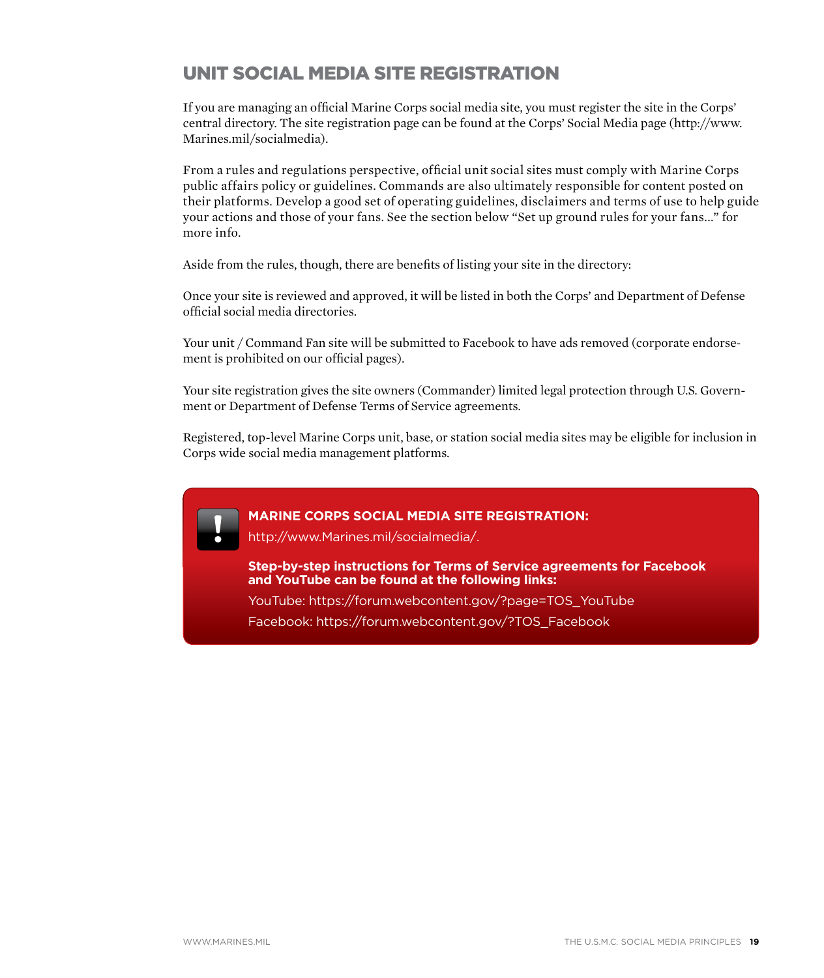### Unit Social Media Site Registration

If you are managing an official Marine Corps social media site, you must register the site in the Corps' central directory. The site registration page can be found at the Corps' Social Media page (http://www. Marines.mil/socialmedia).

From a rules and regulations perspective, official unit social sites must comply with Marine Corps public affairs policy or guidelines. Commands are also ultimately responsible for content posted on their platforms. Develop a good set of operating guidelines, disclaimers and terms of use to help guide your actions and those of your fans. See the section below "Set up ground rules for your fans..." for more info.

Aside from the rules, though, there are benefits of listing your site in the directory:

Once your site is reviewed and approved, it will be listed in both the Corps' and Department of Defense official social media directories.

Your unit / Command Fan site will be submitted to Facebook to have ads removed (corporate endorsement is prohibited on our official pages).

Your site registration gives the site owners (Commander) limited legal protection through U.S. Government or Department of Defense Terms of Service agreements.

Registered, top-level Marine Corps unit, base, or station social media sites may be eligible for inclusion in Corps wide social media management platforms.

#### **Marine Corps Social media site registration:**

http://www.Marines.mil/socialmedia/.

**Step-by-step instructions for Terms of Service agreements for Facebook and YouTube can be found at the following links:**

YouTube: https://forum.webcontent.gov/?page=TOS\_YouTube Facebook: https://forum.webcontent.gov/?TOS\_Facebook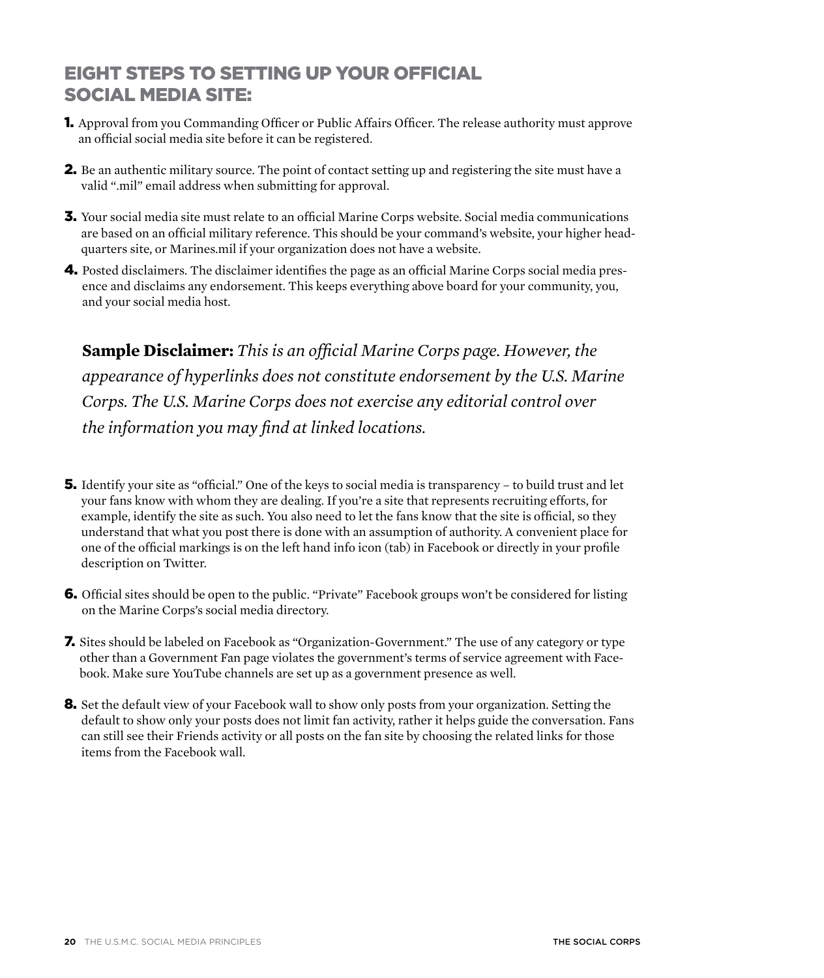## Eight steps to setting up your official social media site:

- 1. Approval from you Commanding Officer or Public Affairs Officer. The release authority must approve an official social media site before it can be registered.
- 2. Be an authentic military source. The point of contact setting up and registering the site must have a valid ".mil" email address when submitting for approval.
- 3. Your social media site must relate to an official Marine Corps website. Social media communications are based on an official military reference. This should be your command's website, your higher headquarters site, or Marines.mil if your organization does not have a website.
- 4. Posted disclaimers. The disclaimer identifies the page as an official Marine Corps social media presence and disclaims any endorsement. This keeps everything above board for your community, you, and your social media host.

**Sample Disclaimer:** *This is an official Marine Corps page. However, the appearance of hyperlinks does not constitute endorsement by the U.S. Marine Corps. The U.S. Marine Corps does not exercise any editorial control over the information you may find at linked locations.* 

- 5. Identify your site as "official." One of the keys to social media is transparency to build trust and let your fans know with whom they are dealing. If you're a site that represents recruiting efforts, for example, identify the site as such. You also need to let the fans know that the site is official, so they understand that what you post there is done with an assumption of authority. A convenient place for one of the official markings is on the left hand info icon (tab) in Facebook or directly in your profile description on Twitter.
- 6. Official sites should be open to the public. "Private" Facebook groups won't be considered for listing on the Marine Corps's social media directory.
- 7. Sites should be labeled on Facebook as "Organization-Government." The use of any category or type other than a Government Fan page violates the government's terms of service agreement with Facebook. Make sure YouTube channels are set up as a government presence as well.
- 8. Set the default view of your Facebook wall to show only posts from your organization. Setting the default to show only your posts does not limit fan activity, rather it helps guide the conversation. Fans can still see their Friends activity or all posts on the fan site by choosing the related links for those items from the Facebook wall.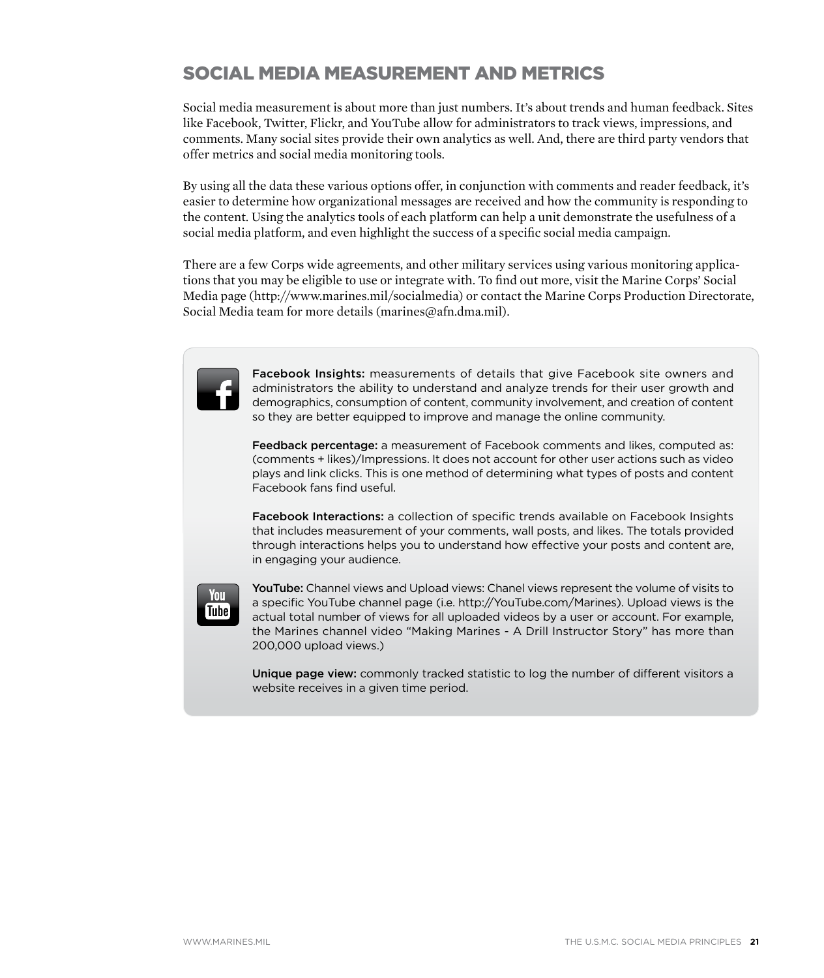### Social Media Measurement and Metrics

Social media measurement is about more than just numbers. It's about trends and human feedback. Sites like Facebook, Twitter, Flickr, and YouTube allow for administrators to track views, impressions, and comments. Many social sites provide their own analytics as well. And, there are third party vendors that offer metrics and social media monitoring tools.

By using all the data these various options offer, in conjunction with comments and reader feedback, it's easier to determine how organizational messages are received and how the community is responding to the content. Using the analytics tools of each platform can help a unit demonstrate the usefulness of a social media platform, and even highlight the success of a specific social media campaign.

There are a few Corps wide agreements, and other military services using various monitoring applications that you may be eligible to use or integrate with. To find out more, visit the Marine Corps' Social Media page (http://www.marines.mil/socialmedia) or contact the Marine Corps Production Directorate, Social Media team for more details (marines@afn.dma.mil).



Facebook Insights: measurements of details that give Facebook site owners and administrators the ability to understand and analyze trends for their user growth and demographics, consumption of content, community involvement, and creation of content so they are better equipped to improve and manage the online community.

Feedback percentage: a measurement of Facebook comments and likes, computed as: (comments + likes)/Impressions. It does not account for other user actions such as video plays and link clicks. This is one method of determining what types of posts and content Facebook fans find useful.

Facebook Interactions: a collection of specific trends available on Facebook Insights that includes measurement of your comments, wall posts, and likes. The totals provided through interactions helps you to understand how effective your posts and content are, in engaging your audience.



YouTube: Channel views and Upload views: Chanel views represent the volume of visits to a specific YouTube channel page (i.e. http://YouTube.com/Marines). Upload views is the actual total number of views for all uploaded videos by a user or account. For example, the Marines channel video "Making Marines - A Drill Instructor Story" has more than 200,000 upload views.)

Unique page view: commonly tracked statistic to log the number of different visitors a website receives in a given time period.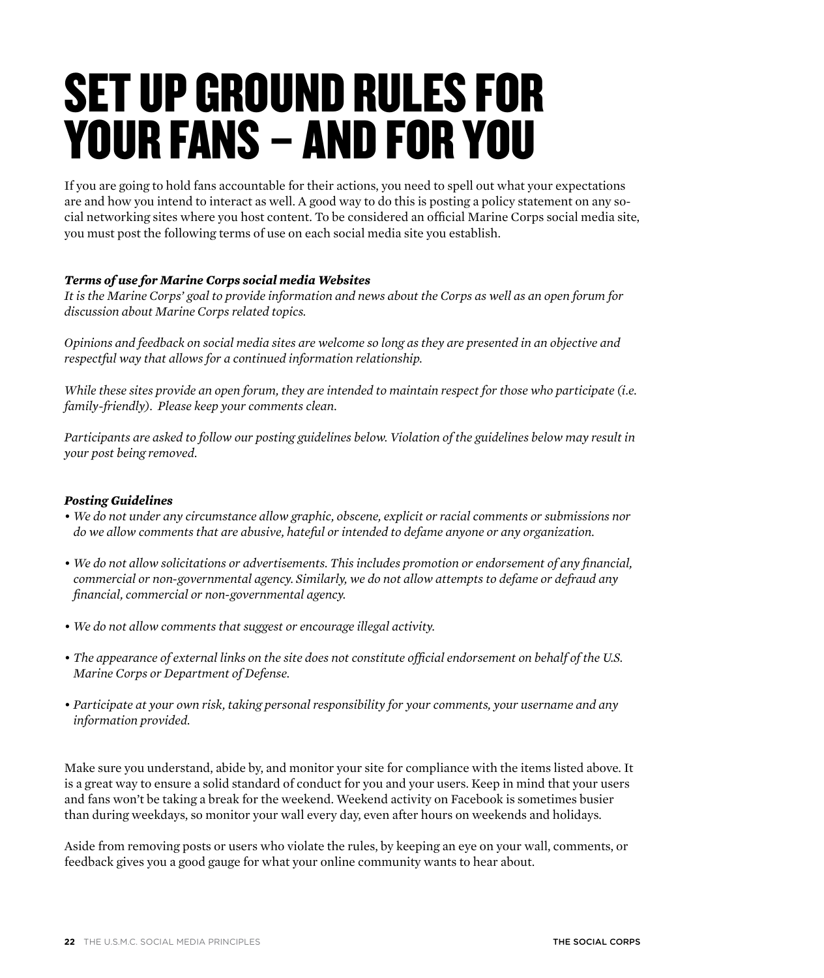## Set up ground rules for your fans – and for you

If you are going to hold fans accountable for their actions, you need to spell out what your expectations are and how you intend to interact as well. A good way to do this is posting a policy statement on any social networking sites where you host content. To be considered an official Marine Corps social media site, you must post the following terms of use on each social media site you establish.

#### *Terms of use for Marine Corps social media Websites*

*It is the Marine Corps' goal to provide information and news about the Corps as well as an open forum for discussion about Marine Corps related topics.* 

*Opinions and feedback on social media sites are welcome so long as they are presented in an objective and respectful way that allows for a continued information relationship.*

*While these sites provide an open forum, they are intended to maintain respect for those who participate (i.e. family-friendly). Please keep your comments clean.* 

*Participants are asked to follow our posting guidelines below. Violation of the guidelines below may result in your post being removed.*

#### *Posting Guidelines*

- *We do not under any circumstance allow graphic, obscene, explicit or racial comments or submissions nor do we allow comments that are abusive, hateful or intended to defame anyone or any organization.*
- *We do not allow solicitations or advertisements. This includes promotion or endorsement of any financial, commercial or non-governmental agency. Similarly, we do not allow attempts to defame or defraud any financial, commercial or non-governmental agency.*
- *We do not allow comments that suggest or encourage illegal activity.*
- *The appearance of external links on the site does not constitute official endorsement on behalf of the U.S. Marine Corps or Department of Defense.*
- *Participate at your own risk, taking personal responsibility for your comments, your username and any information provided.*

Make sure you understand, abide by, and monitor your site for compliance with the items listed above. It is a great way to ensure a solid standard of conduct for you and your users. Keep in mind that your users and fans won't be taking a break for the weekend. Weekend activity on Facebook is sometimes busier than during weekdays, so monitor your wall every day, even after hours on weekends and holidays.

Aside from removing posts or users who violate the rules, by keeping an eye on your wall, comments, or feedback gives you a good gauge for what your online community wants to hear about.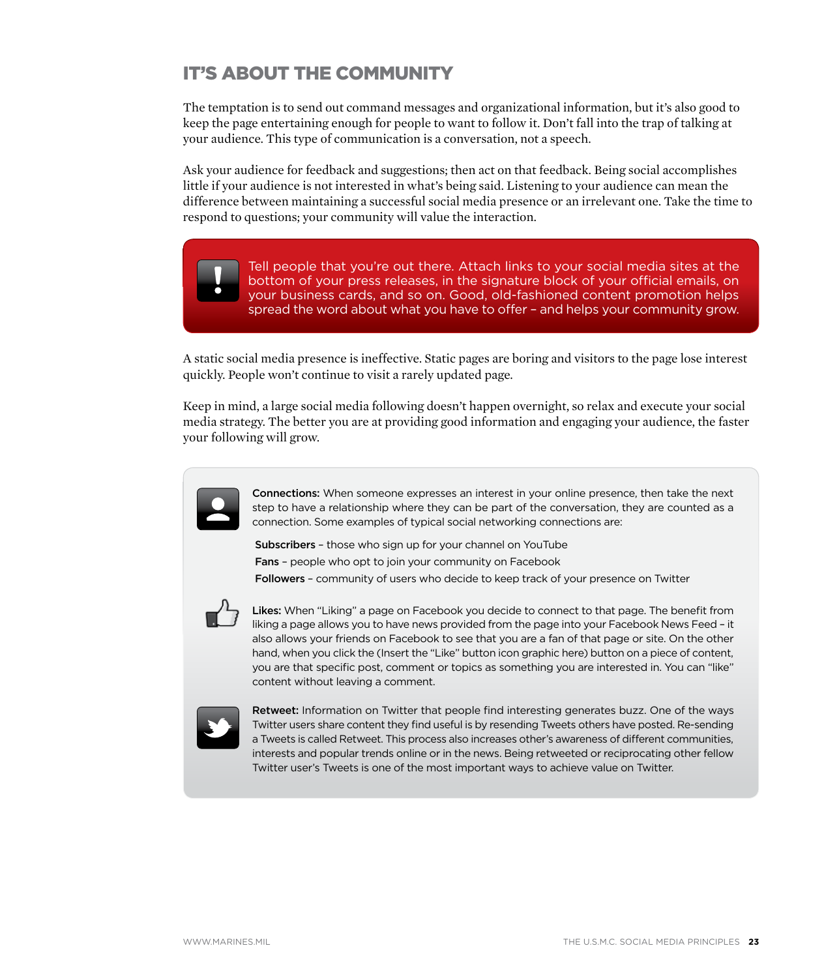## It's about the community

The temptation is to send out command messages and organizational information, but it's also good to keep the page entertaining enough for people to want to follow it. Don't fall into the trap of talking at your audience. This type of communication is a conversation, not a speech.

Ask your audience for feedback and suggestions; then act on that feedback. Being social accomplishes little if your audience is not interested in what's being said. Listening to your audience can mean the difference between maintaining a successful social media presence or an irrelevant one. Take the time to respond to questions; your community will value the interaction.

> Tell people that you're out there. Attach links to your social media sites at the bottom of your press releases, in the signature block of your official emails, on your business cards, and so on. Good, old-fashioned content promotion helps spread the word about what you have to offer – and helps your community grow.

A static social media presence is ineffective. Static pages are boring and visitors to the page lose interest quickly. People won't continue to visit a rarely updated page.

Keep in mind, a large social media following doesn't happen overnight, so relax and execute your social media strategy. The better you are at providing good information and engaging your audience, the faster your following will grow.



Connections: When someone expresses an interest in your online presence, then take the next step to have a relationship where they can be part of the conversation, they are counted as a connection. Some examples of typical social networking connections are:

Subscribers – those who sign up for your channel on YouTube

Fans – people who opt to join your community on Facebook

Followers – community of users who decide to keep track of your presence on Twitter



Likes: When "Liking" a page on Facebook you decide to connect to that page. The benefit from liking a page allows you to have news provided from the page into your Facebook News Feed – it also allows your friends on Facebook to see that you are a fan of that page or site. On the other hand, when you click the (Insert the "Like" button icon graphic here) button on a piece of content, you are that specific post, comment or topics as something you are interested in. You can "like" content without leaving a comment.



Retweet: Information on Twitter that people find interesting generates buzz. One of the ways Twitter users share content they find useful is by resending Tweets others have posted. Re-sending a Tweets is called Retweet. This process also increases other's awareness of different communities, interests and popular trends online or in the news. Being retweeted or reciprocating other fellow Twitter user's Tweets is one of the most important ways to achieve value on Twitter.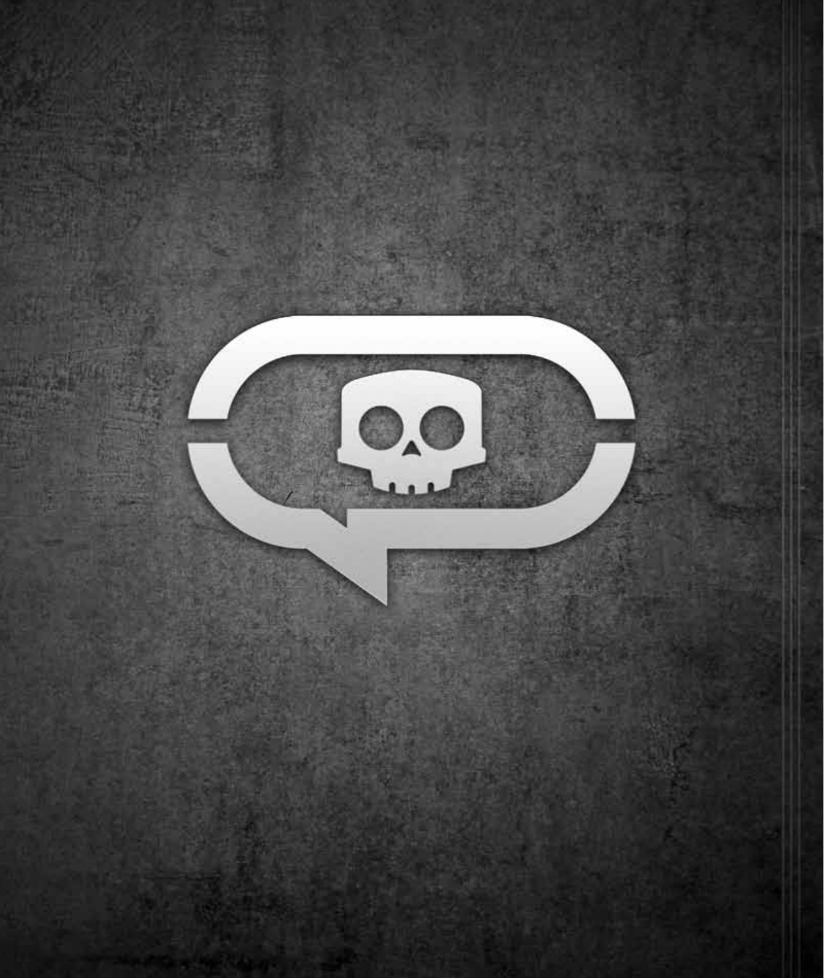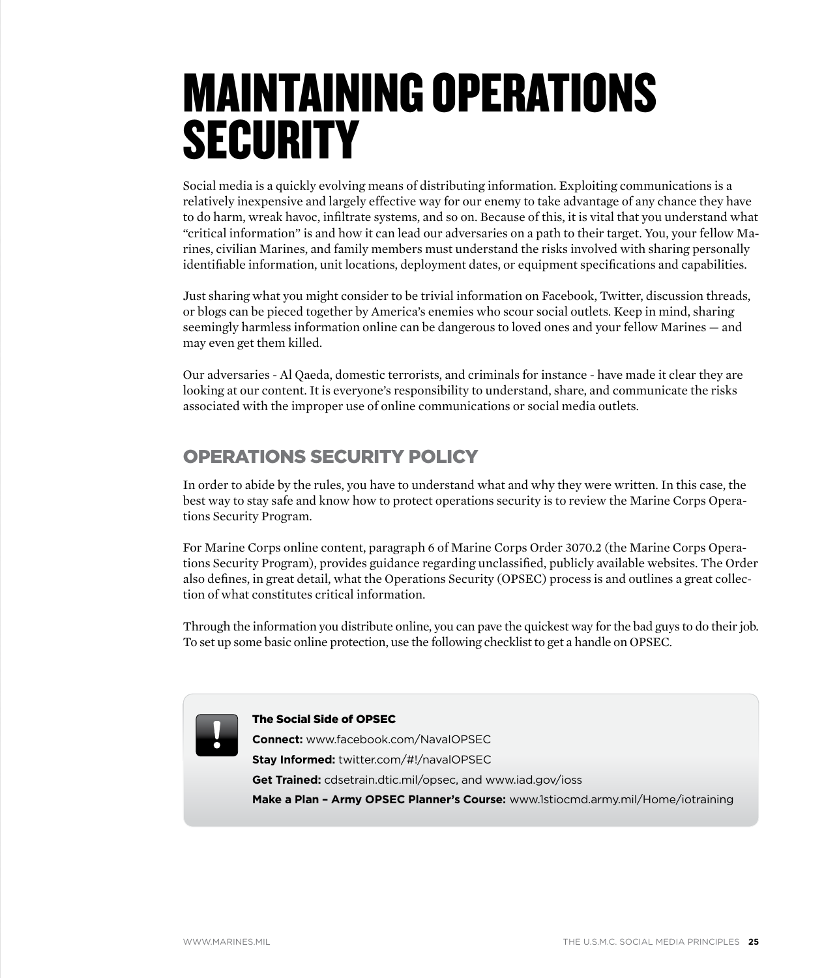## Maintaining Operations **SECURITY**

Social media is a quickly evolving means of distributing information. Exploiting communications is a relatively inexpensive and largely effective way for our enemy to take advantage of any chance they have to do harm, wreak havoc, infiltrate systems, and so on. Because of this, it is vital that you understand what "critical information" is and how it can lead our adversaries on a path to their target. You, your fellow Marines, civilian Marines, and family members must understand the risks involved with sharing personally identifiable information, unit locations, deployment dates, or equipment specifications and capabilities.

Just sharing what you might consider to be trivial information on Facebook, Twitter, discussion threads, or blogs can be pieced together by America's enemies who scour social outlets. Keep in mind, sharing seemingly harmless information online can be dangerous to loved ones and your fellow Marines — and may even get them killed.

Our adversaries - Al Qaeda, domestic terrorists, and criminals for instance - have made it clear they are looking at our content. It is everyone's responsibility to understand, share, and communicate the risks associated with the improper use of online communications or social media outlets.

## Operations Security Policy

In order to abide by the rules, you have to understand what and why they were written. In this case, the best way to stay safe and know how to protect operations security is to review the Marine Corps Operations Security Program.

For Marine Corps online content, paragraph 6 of Marine Corps Order 3070.2 (the Marine Corps Operations Security Program), provides guidance regarding unclassified, publicly available websites. The Order also defines, in great detail, what the Operations Security (OPSEC) process is and outlines a great collection of what constitutes critical information.

Through the information you distribute online, you can pave the quickest way for the bad guys to do their job. To set up some basic online protection, use the following checklist to get a handle on OPSEC.

The Social Side of OPSEC

**Connect:** www.facebook.com/NavalOPSEC

**Stay Informed:** twitter.com/#!/navalOPSEC

**Get Trained:** cdsetrain.dtic.mil/opsec, and www.iad.gov/ioss

**Make a Plan – Army OPSEC Planner's Course:** www.1stiocmd.army.mil/Home/iotraining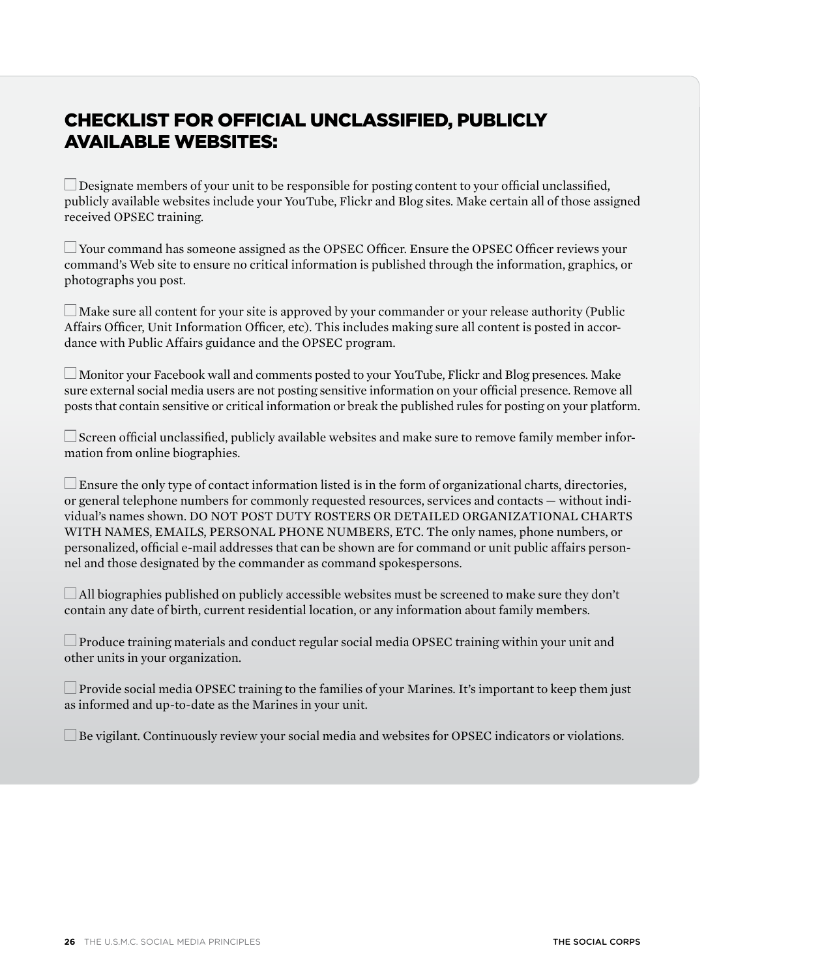## Checklist for Official Unclassified, Publicly Available Websites:

 $\Box$  Designate members of your unit to be responsible for posting content to your official unclassified, publicly available websites include your YouTube, Flickr and Blog sites. Make certain all of those assigned received OPSEC training.

 Your command has someone assigned as the OPSEC Officer. Ensure the OPSEC Officer reviews your command's Web site to ensure no critical information is published through the information, graphics, or photographs you post.

 $\Box$  Make sure all content for your site is approved by your commander or your release authority (Public Affairs Officer, Unit Information Officer, etc). This includes making sure all content is posted in accordance with Public Affairs guidance and the OPSEC program.

 Monitor your Facebook wall and comments posted to your YouTube, Flickr and Blog presences. Make sure external social media users are not posting sensitive information on your official presence. Remove all posts that contain sensitive or critical information or break the published rules for posting on your platform.

 $\square$  Screen official unclassified, publicly available websites and make sure to remove family member information from online biographies.

 $\Box$  Ensure the only type of contact information listed is in the form of organizational charts, directories, or general telephone numbers for commonly requested resources, services and contacts — without individual's names shown. DO NOT POST DUTY ROSTERS OR DETAILED ORGANIZATIONAL CHARTS WITH NAMES, EMAILS, PERSONAL PHONE NUMBERS, ETC. The only names, phone numbers, or personalized, official e-mail addresses that can be shown are for command or unit public affairs personnel and those designated by the commander as command spokespersons.

 $\Box$  All biographies published on publicly accessible websites must be screened to make sure they don't contain any date of birth, current residential location, or any information about family members.

 $\Box$  Produce training materials and conduct regular social media OPSEC training within your unit and other units in your organization.

 $\Box$  Provide social media OPSEC training to the families of your Marines. It's important to keep them just as informed and up-to-date as the Marines in your unit.

Be vigilant. Continuously review your social media and websites for OPSEC indicators or violations.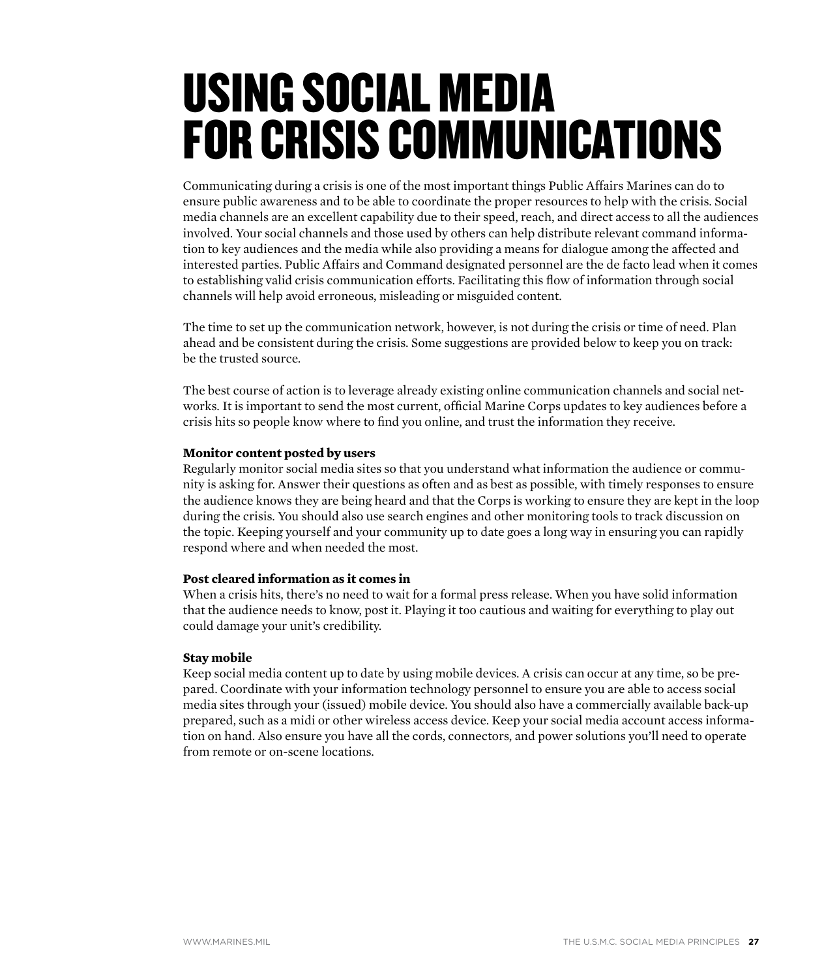## Using Social Media for Crisis Communications

Communicating during a crisis is one of the most important things Public Affairs Marines can do to ensure public awareness and to be able to coordinate the proper resources to help with the crisis. Social media channels are an excellent capability due to their speed, reach, and direct access to all the audiences involved. Your social channels and those used by others can help distribute relevant command information to key audiences and the media while also providing a means for dialogue among the affected and interested parties. Public Affairs and Command designated personnel are the de facto lead when it comes to establishing valid crisis communication efforts. Facilitating this flow of information through social channels will help avoid erroneous, misleading or misguided content.

The time to set up the communication network, however, is not during the crisis or time of need. Plan ahead and be consistent during the crisis. Some suggestions are provided below to keep you on track: be the trusted source.

The best course of action is to leverage already existing online communication channels and social networks. It is important to send the most current, official Marine Corps updates to key audiences before a crisis hits so people know where to find you online, and trust the information they receive.

#### **Monitor content posted by users**

Regularly monitor social media sites so that you understand what information the audience or community is asking for. Answer their questions as often and as best as possible, with timely responses to ensure the audience knows they are being heard and that the Corps is working to ensure they are kept in the loop during the crisis. You should also use search engines and other monitoring tools to track discussion on the topic. Keeping yourself and your community up to date goes a long way in ensuring you can rapidly respond where and when needed the most.

#### **Post cleared information as it comes in**

When a crisis hits, there's no need to wait for a formal press release. When you have solid information that the audience needs to know, post it. Playing it too cautious and waiting for everything to play out could damage your unit's credibility.

#### **Stay mobile**

Keep social media content up to date by using mobile devices. A crisis can occur at any time, so be prepared. Coordinate with your information technology personnel to ensure you are able to access social media sites through your (issued) mobile device. You should also have a commercially available back-up prepared, such as a midi or other wireless access device. Keep your social media account access information on hand. Also ensure you have all the cords, connectors, and power solutions you'll need to operate from remote or on-scene locations.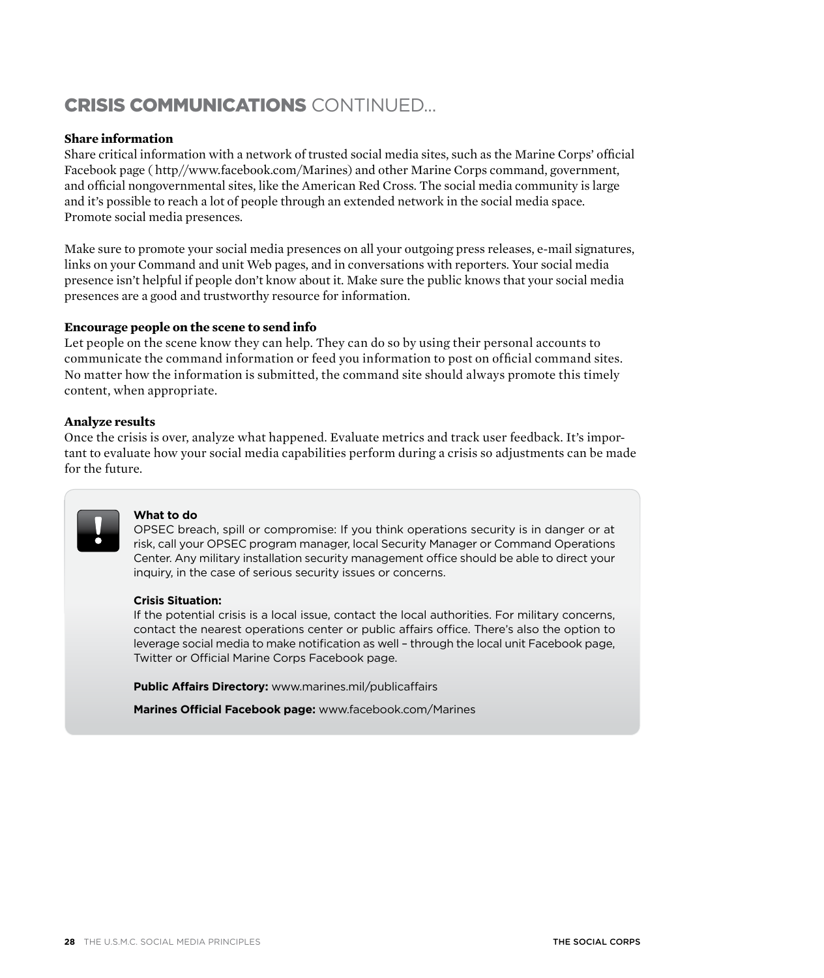## CRISIS COMMUNICATIONS CONTINUED...

#### **Share information**

Share critical information with a network of trusted social media sites, such as the Marine Corps' official Facebook page ( http//www.facebook.com/Marines) and other Marine Corps command, government, and official nongovernmental sites, like the American Red Cross. The social media community is large and it's possible to reach a lot of people through an extended network in the social media space. Promote social media presences.

Make sure to promote your social media presences on all your outgoing press releases, e-mail signatures, links on your Command and unit Web pages, and in conversations with reporters. Your social media presence isn't helpful if people don't know about it. Make sure the public knows that your social media presences are a good and trustworthy resource for information.

#### **Encourage people on the scene to send info**

Let people on the scene know they can help. They can do so by using their personal accounts to communicate the command information or feed you information to post on official command sites. No matter how the information is submitted, the command site should always promote this timely content, when appropriate.

#### **Analyze results**

Once the crisis is over, analyze what happened. Evaluate metrics and track user feedback. It's important to evaluate how your social media capabilities perform during a crisis so adjustments can be made for the future.



#### **What to do**

OPSEC breach, spill or compromise: If you think operations security is in danger or at risk, call your OPSEC program manager, local Security Manager or Command Operations Center. Any military installation security management office should be able to direct your inquiry, in the case of serious security issues or concerns.

#### **Crisis Situation:**

If the potential crisis is a local issue, contact the local authorities. For military concerns, contact the nearest operations center or public affairs office. There's also the option to leverage social media to make notification as well – through the local unit Facebook page, Twitter or Official Marine Corps Facebook page.

**Public Affairs Directory:** www.marines.mil/publicaffairs

**Marines Official Facebook page:** www.facebook.com/Marines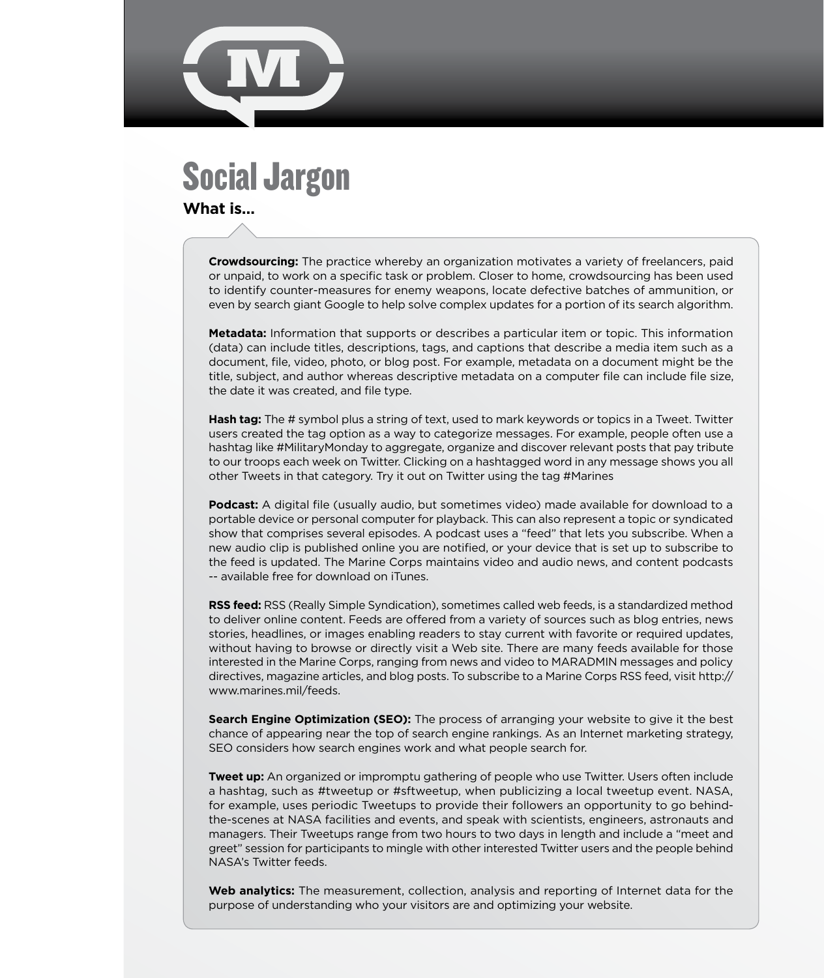

## Social Jargon

**What is…**

**Crowdsourcing:** The practice whereby an organization motivates a variety of freelancers, paid or unpaid, to work on a specific task or problem. Closer to home, crowdsourcing has been used to identify counter-measures for enemy weapons, locate defective batches of ammunition, or even by search giant Google to help solve complex updates for a portion of its search algorithm.

**Metadata:** Information that supports or describes a particular item or topic. This information (data) can include titles, descriptions, tags, and captions that describe a media item such as a document, file, video, photo, or blog post. For example, metadata on a document might be the title, subject, and author whereas descriptive metadata on a computer file can include file size, the date it was created, and file type.

**Hash tag:** The # symbol plus a string of text, used to mark keywords or topics in a Tweet. Twitter users created the tag option as a way to categorize messages. For example, people often use a hashtag like #MilitaryMonday to aggregate, organize and discover relevant posts that pay tribute to our troops each week on Twitter. Clicking on a hashtagged word in any message shows you all other Tweets in that category. Try it out on Twitter using the tag #Marines

**Podcast:** A digital file (usually audio, but sometimes video) made available for download to a portable device or personal computer for playback. This can also represent a topic or syndicated show that comprises several episodes. A podcast uses a "feed" that lets you subscribe. When a new audio clip is published online you are notified, or your device that is set up to subscribe to the feed is updated. The Marine Corps maintains video and audio news, and content podcasts -- available free for download on iTunes.

**RSS feed:** RSS (Really Simple Syndication), sometimes called web feeds, is a standardized method to deliver online content. Feeds are offered from a variety of sources such as blog entries, news stories, headlines, or images enabling readers to stay current with favorite or required updates, without having to browse or directly visit a Web site. There are many feeds available for those interested in the Marine Corps, ranging from news and video to MARADMIN messages and policy directives, magazine articles, and blog posts. To subscribe to a Marine Corps RSS feed, visit http:// www.marines.mil/feeds.

**Search Engine Optimization (SEO):** The process of arranging your website to give it the best chance of appearing near the top of search engine rankings. As an Internet marketing strategy, SEO considers how search engines work and what people search for.

**Tweet up:** An organized or impromptu gathering of people who use Twitter. Users often include a hashtag, such as #tweetup or #sftweetup, when publicizing a local tweetup event. NASA, for example, uses periodic Tweetups to provide their followers an opportunity to go behindthe-scenes at NASA facilities and events, and speak with scientists, engineers, astronauts and managers. Their Tweetups range from two hours to two days in length and include a "meet and greet" session for participants to mingle with other interested Twitter users and the people behind NASA's Twitter feeds.

**Web analytics:** The measurement, collection, analysis and reporting of Internet data for the purpose of understanding who your visitors are and optimizing your website.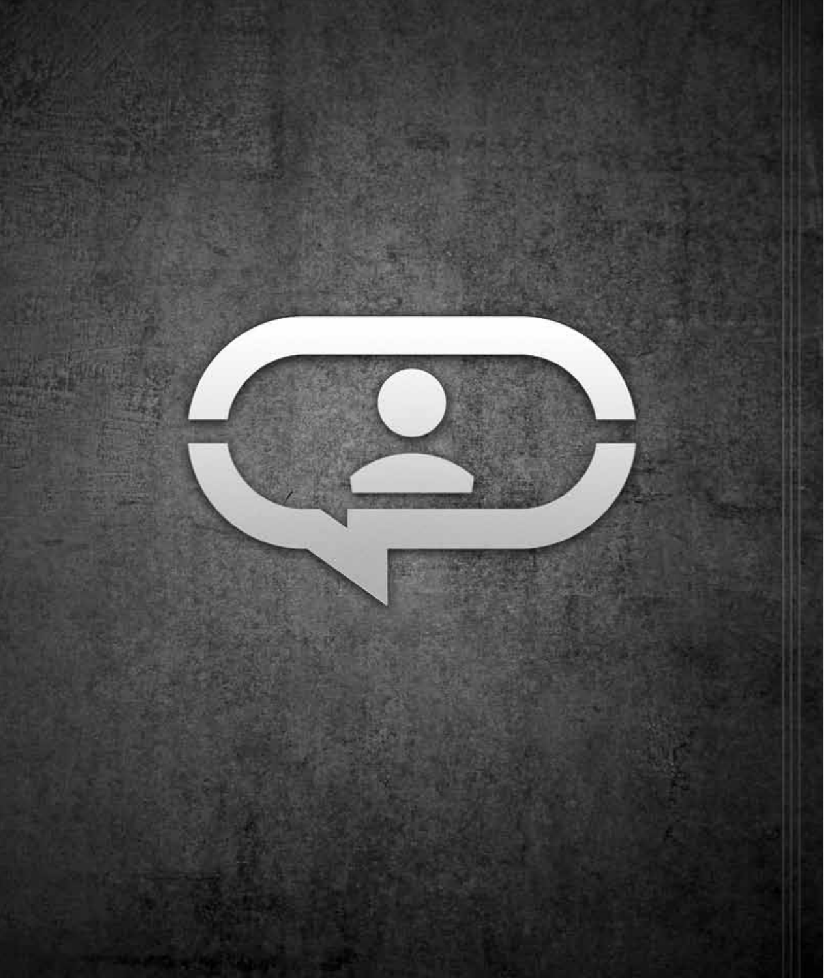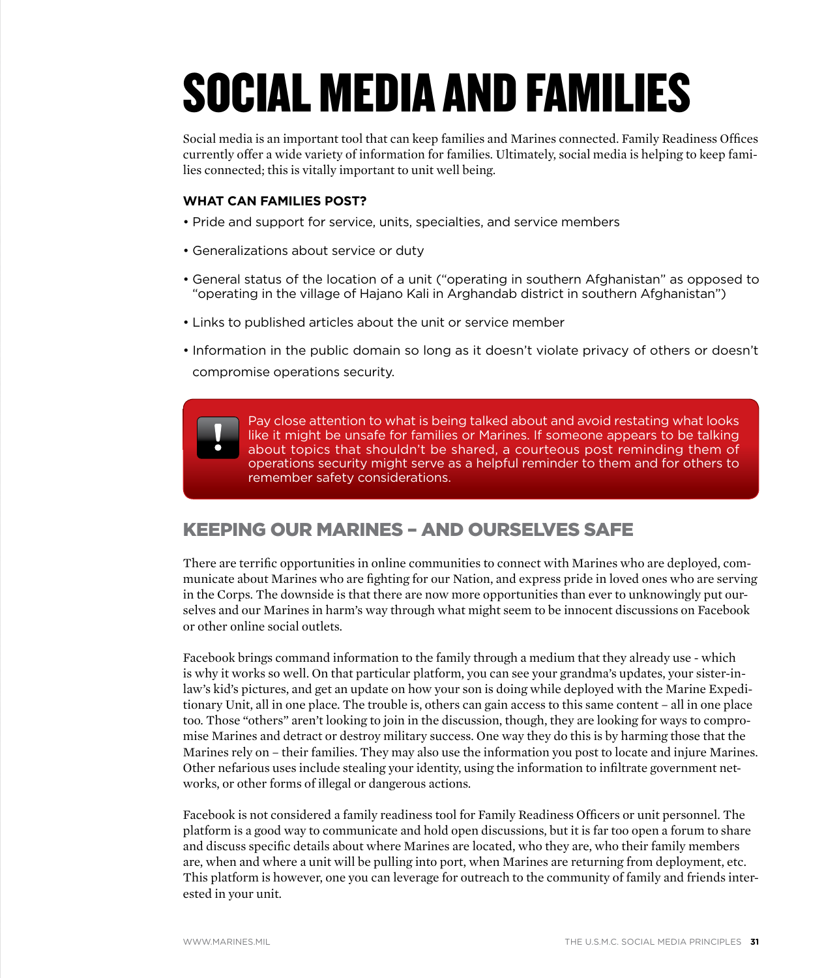# Social Media and Families

Social media is an important tool that can keep families and Marines connected. Family Readiness Offices currently offer a wide variety of information for families. Ultimately, social media is helping to keep families connected; this is vitally important to unit well being.

#### **What can families post?**

- Pride and support for service, units, specialties, and service members
- Generalizations about service or duty
- General status of the location of a unit ("operating in southern Afghanistan" as opposed to "operating in the village of Hajano Kali in Arghandab district in southern Afghanistan")
- Links to published articles about the unit or service member
- Information in the public domain so long as it doesn't violate privacy of others or doesn't compromise operations security.

Pay close attention to what is being talked about and avoid restating what looks like it might be unsafe for families or Marines. If someone appears to be talking about topics that shouldn't be shared, a courteous post reminding them of operations security might serve as a helpful reminder to them and for others to remember safety considerations.

### Keeping our Marines – and ourselves safe

There are terrific opportunities in online communities to connect with Marines who are deployed, communicate about Marines who are fighting for our Nation, and express pride in loved ones who are serving in the Corps. The downside is that there are now more opportunities than ever to unknowingly put ourselves and our Marines in harm's way through what might seem to be innocent discussions on Facebook or other online social outlets.

Facebook brings command information to the family through a medium that they already use - which is why it works so well. On that particular platform, you can see your grandma's updates, your sister-inlaw's kid's pictures, and get an update on how your son is doing while deployed with the Marine Expeditionary Unit, all in one place. The trouble is, others can gain access to this same content – all in one place too. Those "others" aren't looking to join in the discussion, though, they are looking for ways to compromise Marines and detract or destroy military success. One way they do this is by harming those that the Marines rely on – their families. They may also use the information you post to locate and injure Marines. Other nefarious uses include stealing your identity, using the information to infiltrate government networks, or other forms of illegal or dangerous actions.

Facebook is not considered a family readiness tool for Family Readiness Officers or unit personnel. The platform is a good way to communicate and hold open discussions, but it is far too open a forum to share and discuss specific details about where Marines are located, who they are, who their family members are, when and where a unit will be pulling into port, when Marines are returning from deployment, etc. This platform is however, one you can leverage for outreach to the community of family and friends interested in your unit.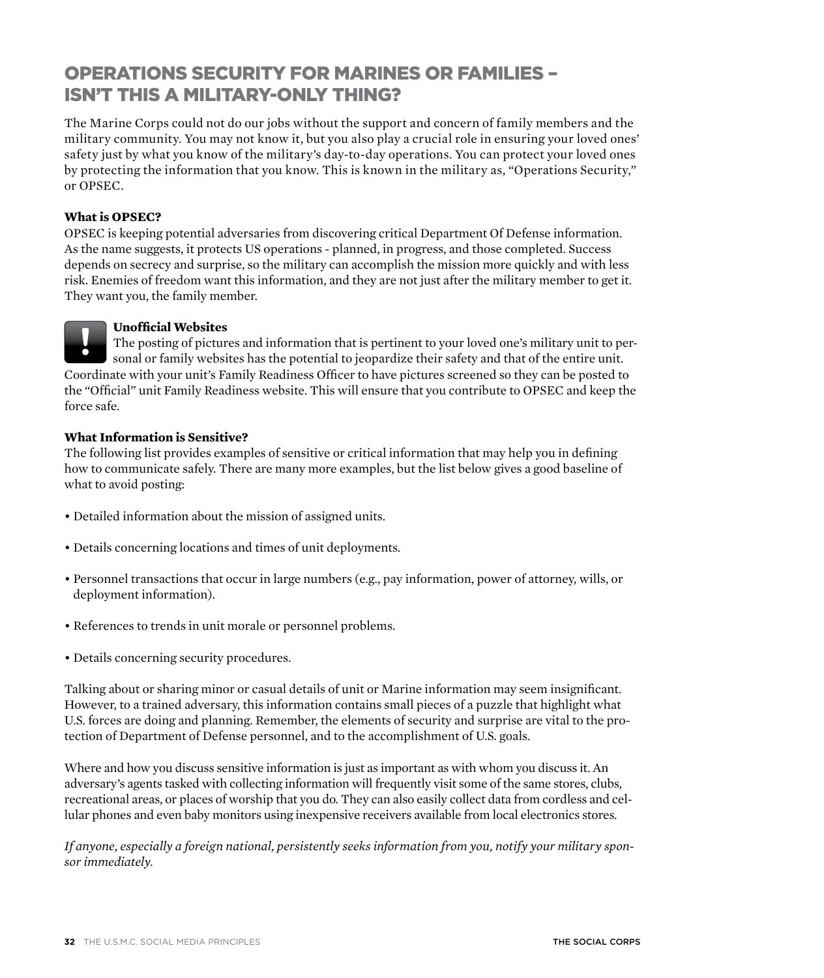## Operations Security for Marines or families – isn't this a military-only thing?

The Marine Corps could not do our jobs without the support and concern of family members and the military community. You may not know it, but you also play a crucial role in ensuring your loved ones' safety just by what you know of the military's day-to-day operations. You can protect your loved ones by protecting the information that you know. This is known in the military as, "Operations Security," or OPSEC.

#### **What is OPSEC?**

OPSEC is keeping potential adversaries from discovering critical Department Of Defense information. As the name suggests, it protects US operations - planned, in progress, and those completed. Success depends on secrecy and surprise, so the military can accomplish the mission more quickly and with less risk. Enemies of freedom want this information, and they are not just after the military member to get it. They want you, the family member.

#### **Unofficial Websites**

The posting of pictures and information that is pertinent to your loved one's military unit to personal or family websites has the potential to jeopardize their safety and that of the entire unit. Coordinate with your unit's Family Readiness Officer to have pictures screened so they can be posted to the "Official" unit Family Readiness website. This will ensure that you contribute to OPSEC and keep the force safe.

#### **What Information is Sensitive?**

The following list provides examples of sensitive or critical information that may help you in defining how to communicate safely. There are many more examples, but the list below gives a good baseline of what to avoid posting:

- Detailed information about the mission of assigned units.
- Details concerning locations and times of unit deployments.
- Personnel transactions that occur in large numbers (e.g., pay information, power of attorney, wills, or deployment information).
- References to trends in unit morale or personnel problems.
- Details concerning security procedures.

Talking about or sharing minor or casual details of unit or Marine information may seem insignificant. However, to a trained adversary, this information contains small pieces of a puzzle that highlight what U.S. forces are doing and planning. Remember, the elements of security and surprise are vital to the protection of Department of Defense personnel, and to the accomplishment of U.S. goals.

Where and how you discuss sensitive information is just as important as with whom you discuss it. An adversary's agents tasked with collecting information will frequently visit some of the same stores, clubs, recreational areas, or places of worship that you do. They can also easily collect data from cordless and cellular phones and even baby monitors using inexpensive receivers available from local electronics stores.

*If anyone, especially a foreign national, persistently seeks information from you, notify your military sponsor immediately.*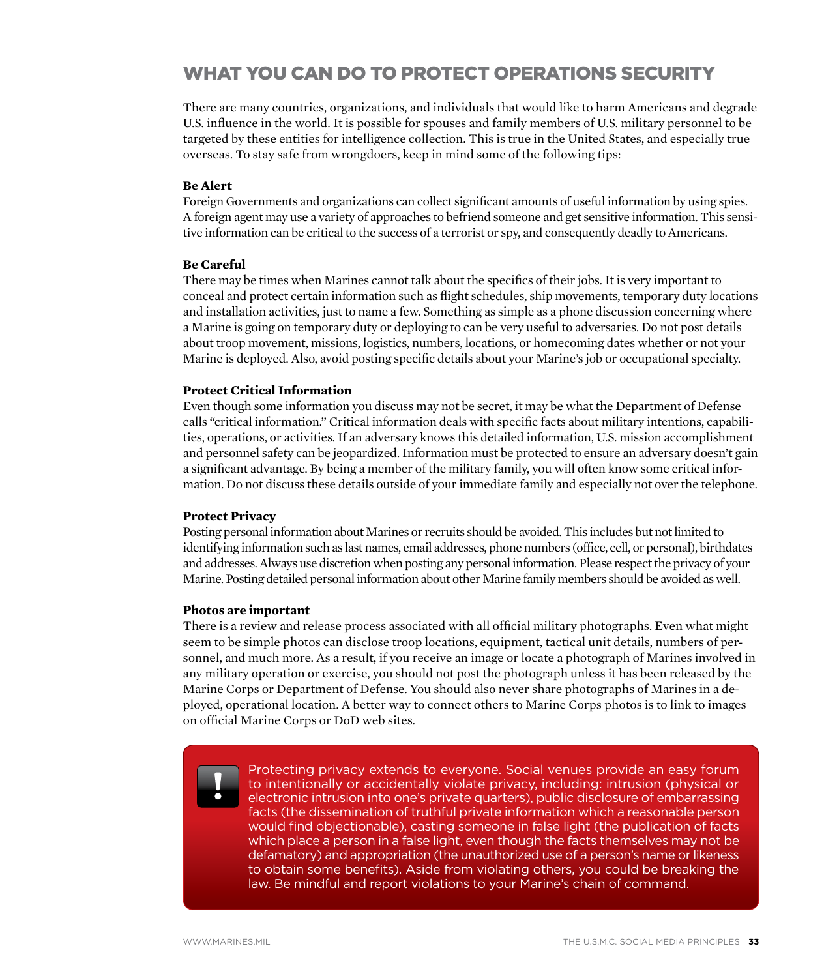### What you can do to protect operations security

There are many countries, organizations, and individuals that would like to harm Americans and degrade U.S. influence in the world. It is possible for spouses and family members of U.S. military personnel to be targeted by these entities for intelligence collection. This is true in the United States, and especially true overseas. To stay safe from wrongdoers, keep in mind some of the following tips:

#### **Be Alert**

Foreign Governments and organizations can collect significant amounts of useful information by using spies. A foreign agent may use a variety of approaches to befriend someone and get sensitive information. This sensitive information can be critical to the success of a terrorist or spy, and consequently deadly to Americans.

#### **Be Careful**

There may be times when Marines cannot talk about the specifics of their jobs. It is very important to conceal and protect certain information such as flight schedules, ship movements, temporary duty locations and installation activities, just to name a few. Something as simple as a phone discussion concerning where a Marine is going on temporary duty or deploying to can be very useful to adversaries. Do not post details about troop movement, missions, logistics, numbers, locations, or homecoming dates whether or not your Marine is deployed. Also, avoid posting specific details about your Marine's job or occupational specialty.

#### **Protect Critical Information**

Even though some information you discuss may not be secret, it may be what the Department of Defense calls "critical information." Critical information deals with specific facts about military intentions, capabilities, operations, or activities. If an adversary knows this detailed information, U.S. mission accomplishment and personnel safety can be jeopardized. Information must be protected to ensure an adversary doesn't gain a significant advantage. By being a member of the military family, you will often know some critical information. Do not discuss these details outside of your immediate family and especially not over the telephone.

#### **Protect Privacy**

Posting personal information about Marines or recruits should be avoided. This includes but not limited to identifying information such as last names, email addresses, phone numbers (office, cell, or personal), birthdates and addresses. Always use discretion when posting any personal information. Please respect the privacy of your Marine. Posting detailed personal information about other Marine family members should be avoided as well.

#### **Photos are important**

There is a review and release process associated with all official military photographs. Even what might seem to be simple photos can disclose troop locations, equipment, tactical unit details, numbers of personnel, and much more. As a result, if you receive an image or locate a photograph of Marines involved in any military operation or exercise, you should not post the photograph unless it has been released by the Marine Corps or Department of Defense. You should also never share photographs of Marines in a deployed, operational location. A better way to connect others to Marine Corps photos is to link to images on official Marine Corps or DoD web sites.



Protecting privacy extends to everyone. Social venues provide an easy forum to intentionally or accidentally violate privacy, including: intrusion (physical or electronic intrusion into one's private quarters), public disclosure of embarrassing facts (the dissemination of truthful private information which a reasonable person would find objectionable), casting someone in false light (the publication of facts which place a person in a false light, even though the facts themselves may not be defamatory) and appropriation (the unauthorized use of a person's name or likeness to obtain some benefits). Aside from violating others, you could be breaking the law. Be mindful and report violations to your Marine's chain of command.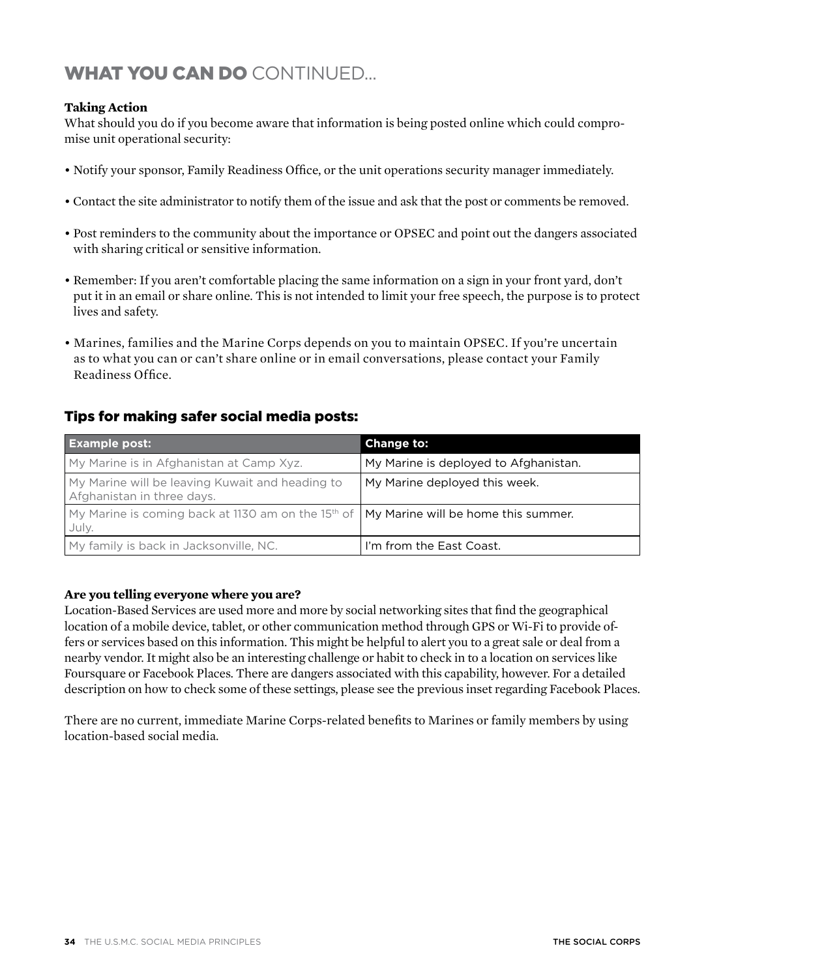## WHAT YOU CAN DO CONTINUED...

#### **Taking Action**

What should you do if you become aware that information is being posted online which could compromise unit operational security:

- Notify your sponsor, Family Readiness Office, or the unit operations security manager immediately.
- Contact the site administrator to notify them of the issue and ask that the post or comments be removed.
- Post reminders to the community about the importance or OPSEC and point out the dangers associated with sharing critical or sensitive information.
- Remember: If you aren't comfortable placing the same information on a sign in your front yard, don't put it in an email or share online. This is not intended to limit your free speech, the purpose is to protect lives and safety.
- Marines, families and the Marine Corps depends on you to maintain OPSEC. If you're uncertain as to what you can or can't share online or in email conversations, please contact your Family Readiness Office.

#### Tips for making safer social media posts:

| <b>Example post:</b>                                                                                          | <b>Change to:</b>                     |
|---------------------------------------------------------------------------------------------------------------|---------------------------------------|
| My Marine is in Afghanistan at Camp Xyz.                                                                      | My Marine is deployed to Afghanistan. |
| My Marine will be leaving Kuwait and heading to<br>Afghanistan in three days.                                 | My Marine deployed this week.         |
| My Marine is coming back at 1130 am on the 15 <sup>th</sup> of   My Marine will be home this summer.<br>July. |                                       |
| My family is back in Jacksonville, NC.                                                                        | I'm from the East Coast.              |

#### **Are you telling everyone where you are?**

Location-Based Services are used more and more by social networking sites that find the geographical location of a mobile device, tablet, or other communication method through GPS or Wi-Fi to provide offers or services based on this information. This might be helpful to alert you to a great sale or deal from a nearby vendor. It might also be an interesting challenge or habit to check in to a location on services like Foursquare or Facebook Places. There are dangers associated with this capability, however. For a detailed description on how to check some of these settings, please see the previous inset regarding Facebook Places.

There are no current, immediate Marine Corps-related benefits to Marines or family members by using location-based social media.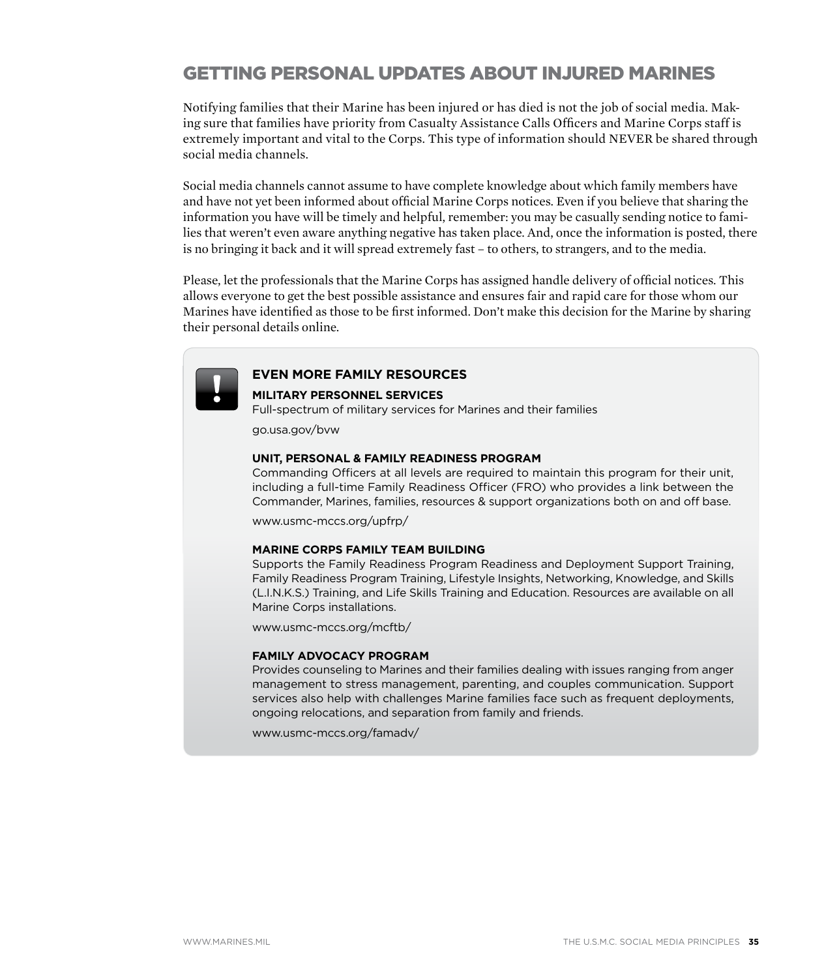### Getting personal updates about injured Marines

Notifying families that their Marine has been injured or has died is not the job of social media. Making sure that families have priority from Casualty Assistance Calls Officers and Marine Corps staff is extremely important and vital to the Corps. This type of information should NEVER be shared through social media channels.

Social media channels cannot assume to have complete knowledge about which family members have and have not yet been informed about official Marine Corps notices. Even if you believe that sharing the information you have will be timely and helpful, remember: you may be casually sending notice to families that weren't even aware anything negative has taken place. And, once the information is posted, there is no bringing it back and it will spread extremely fast – to others, to strangers, and to the media.

Please, let the professionals that the Marine Corps has assigned handle delivery of official notices. This allows everyone to get the best possible assistance and ensures fair and rapid care for those whom our Marines have identified as those to be first informed. Don't make this decision for the Marine by sharing their personal details online.



#### **Even More Family Resources**

**MILITARY PERSONNEL SERVICES** Full-spectrum of military services for Marines and their families

go.usa.gov/bvw

#### **UNIT, PERSONAL & FAMILY READINESS PROGRAM**

Commanding Officers at all levels are required to maintain this program for their unit, including a full-time Family Readiness Officer (FRO) who provides a link between the Commander, Marines, families, resources & support organizations both on and off base.

www.usmc-mccs.org/upfrp/

#### **MARINE CORPS FAMILY TEAM BUILDING**

Supports the Family Readiness Program Readiness and Deployment Support Training, Family Readiness Program Training, Lifestyle Insights, Networking, Knowledge, and Skills (L.I.N.K.S.) Training, and Life Skills Training and Education. Resources are available on all Marine Corps installations.

www.usmc-mccs.org/mcftb/

#### **FAMILY ADVOCACY PROGRAM**

Provides counseling to Marines and their families dealing with issues ranging from anger management to stress management, parenting, and couples communication. Support services also help with challenges Marine families face such as frequent deployments, ongoing relocations, and separation from family and friends.

www.usmc-mccs.org/famadv/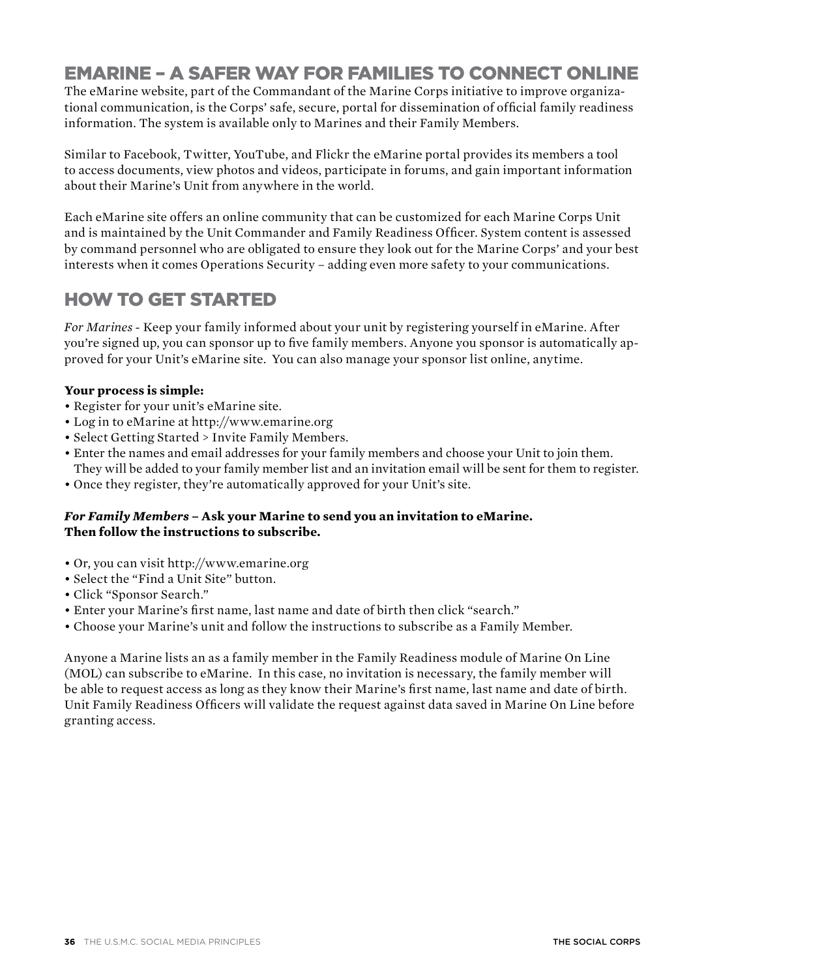## eMarine – a safer way for families to connect online

The eMarine website, part of the Commandant of the Marine Corps initiative to improve organizational communication, is the Corps' safe, secure, portal for dissemination of official family readiness information. The system is available only to Marines and their Family Members.

Similar to Facebook, Twitter, YouTube, and Flickr the eMarine portal provides its members a tool to access documents, view photos and videos, participate in forums, and gain important information about their Marine's Unit from anywhere in the world.

Each eMarine site offers an online community that can be customized for each Marine Corps Unit and is maintained by the Unit Commander and Family Readiness Officer. System content is assessed by command personnel who are obligated to ensure they look out for the Marine Corps' and your best interests when it comes Operations Security – adding even more safety to your communications.

## How to Get Started

*For Marines -* Keep your family informed about your unit by registering yourself in eMarine. After you're signed up, you can sponsor up to five family members. Anyone you sponsor is automatically approved for your Unit's eMarine site. You can also manage your sponsor list online, anytime.

#### **Your process is simple:**

- Register for your unit's eMarine site.
- Log in to eMarine at http://www.emarine.org
- Select Getting Started > Invite Family Members.
- Enter the names and email addresses for your family members and choose your Unit to join them. They will be added to your family member list and an invitation email will be sent for them to register.
- Once they register, they're automatically approved for your Unit's site.

#### *For Family Members* **– Ask your Marine to send you an invitation to eMarine. Then follow the instructions to subscribe.**

- Or, you can visit http://www.emarine.org
- Select the "Find a Unit Site" button.
- Click "Sponsor Search."
- Enter your Marine's first name, last name and date of birth then click "search."
- Choose your Marine's unit and follow the instructions to subscribe as a Family Member.

Anyone a Marine lists an as a family member in the Family Readiness module of Marine On Line (MOL) can subscribe to eMarine. In this case, no invitation is necessary, the family member will be able to request access as long as they know their Marine's first name, last name and date of birth. Unit Family Readiness Officers will validate the request against data saved in Marine On Line before granting access.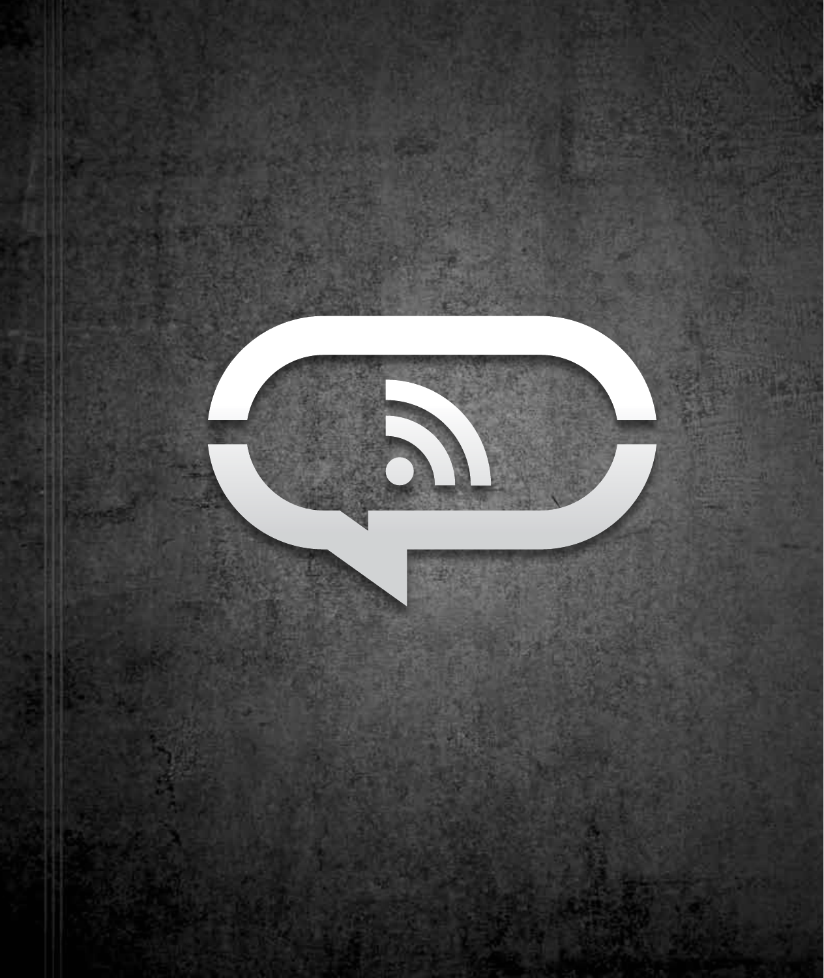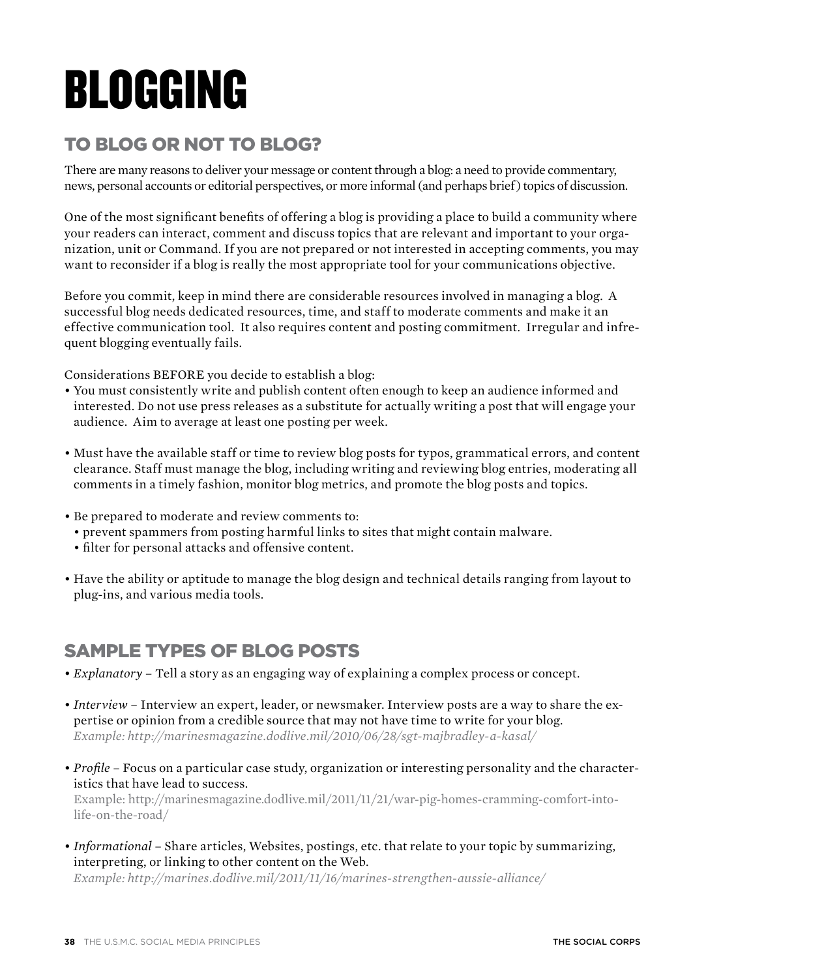## BLOGGING

## To Blog or Not To Blog?

There are many reasons to deliver your message or content through a blog: a need to provide commentary, news, personal accounts or editorial perspectives, or more informal (and perhaps brief ) topics of discussion.

One of the most significant benefits of offering a blog is providing a place to build a community where your readers can interact, comment and discuss topics that are relevant and important to your organization, unit or Command. If you are not prepared or not interested in accepting comments, you may want to reconsider if a blog is really the most appropriate tool for your communications objective.

Before you commit, keep in mind there are considerable resources involved in managing a blog. A successful blog needs dedicated resources, time, and staff to moderate comments and make it an effective communication tool. It also requires content and posting commitment. Irregular and infrequent blogging eventually fails.

Considerations BEFORE you decide to establish a blog:

- You must consistently write and publish content often enough to keep an audience informed and interested. Do not use press releases as a substitute for actually writing a post that will engage your audience. Aim to average at least one posting per week.
- Must have the available staff or time to review blog posts for typos, grammatical errors, and content clearance. Staff must manage the blog, including writing and reviewing blog entries, moderating all comments in a timely fashion, monitor blog metrics, and promote the blog posts and topics.
- Be prepared to moderate and review comments to:
- prevent spammers from posting harmful links to sites that might contain malware.
- filter for personal attacks and offensive content.
- Have the ability or aptitude to manage the blog design and technical details ranging from layout to plug-ins, and various media tools.

### Sample types of blog posts

- *Explanatory* Tell a story as an engaging way of explaining a complex process or concept.
- *Interview* Interview an expert, leader, or newsmaker. Interview posts are a way to share the expertise or opinion from a credible source that may not have time to write for your blog. *Example: http://marinesmagazine.dodlive.mil/2010/06/28/sgt-majbradley-a-kasal/*
- *Profile* Focus on a particular case study, organization or interesting personality and the characteristics that have lead to success.

Example: http://marinesmagazine.dodlive.mil/2011/11/21/war-pig-homes-cramming-comfort-intolife-on-the-road/

• *Informational* – Share articles, Websites, postings, etc. that relate to your topic by summarizing, interpreting, or linking to other content on the Web.

*Example: http://marines.dodlive.mil/2011/11/16/marines-strengthen-aussie-alliance/*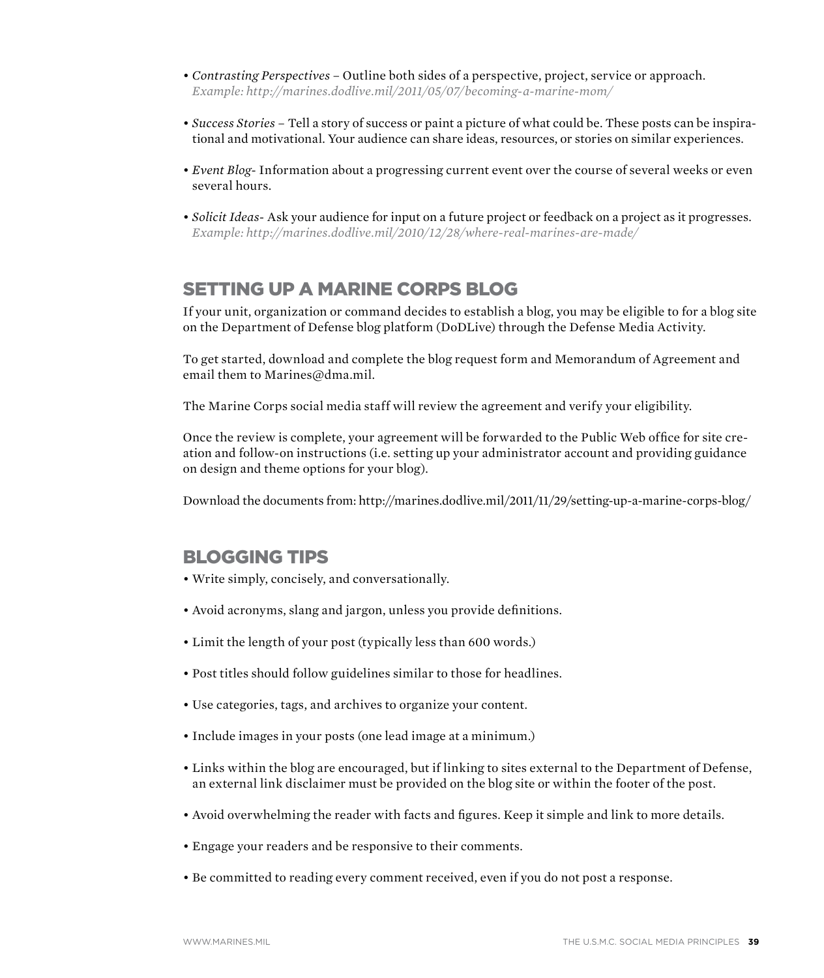- *Contrasting Perspectives* Outline both sides of a perspective, project, service or approach. *Example: http://marines.dodlive.mil/2011/05/07/becoming-a-marine-mom/*
- *Success Stories*  Tell a story of success or paint a picture of what could be. These posts can be inspirational and motivational. Your audience can share ideas, resources, or stories on similar experiences.
- *Event Blog* Information about a progressing current event over the course of several weeks or even several hours.
- *Solicit Ideas-* Ask your audience for input on a future project or feedback on a project as it progresses. *Example: http://marines.dodlive.mil/2010/12/28/where-real-marines-are-made/*

### Setting Up a Marine Corps Blog

If your unit, organization or command decides to establish a blog, you may be eligible to for a blog site on the Department of Defense blog platform (DoDLive) through the Defense Media Activity.

To get started, download and complete the blog request form and Memorandum of Agreement and email them to Marines@dma.mil.

The Marine Corps social media staff will review the agreement and verify your eligibility.

Once the review is complete, your agreement will be forwarded to the Public Web office for site creation and follow-on instructions (i.e. setting up your administrator account and providing guidance on design and theme options for your blog).

Download the documents from: http://marines.dodlive.mil/2011/11/29/setting-up-a-marine-corps-blog/

### Blogging Tips

- Write simply, concisely, and conversationally.
- Avoid acronyms, slang and jargon, unless you provide definitions.
- Limit the length of your post (typically less than 600 words.)
- Post titles should follow guidelines similar to those for headlines.
- Use categories, tags, and archives to organize your content.
- Include images in your posts (one lead image at a minimum.)
- Links within the blog are encouraged, but if linking to sites external to the Department of Defense, an external link disclaimer must be provided on the blog site or within the footer of the post.
- Avoid overwhelming the reader with facts and figures. Keep it simple and link to more details.
- Engage your readers and be responsive to their comments.
- Be committed to reading every comment received, even if you do not post a response.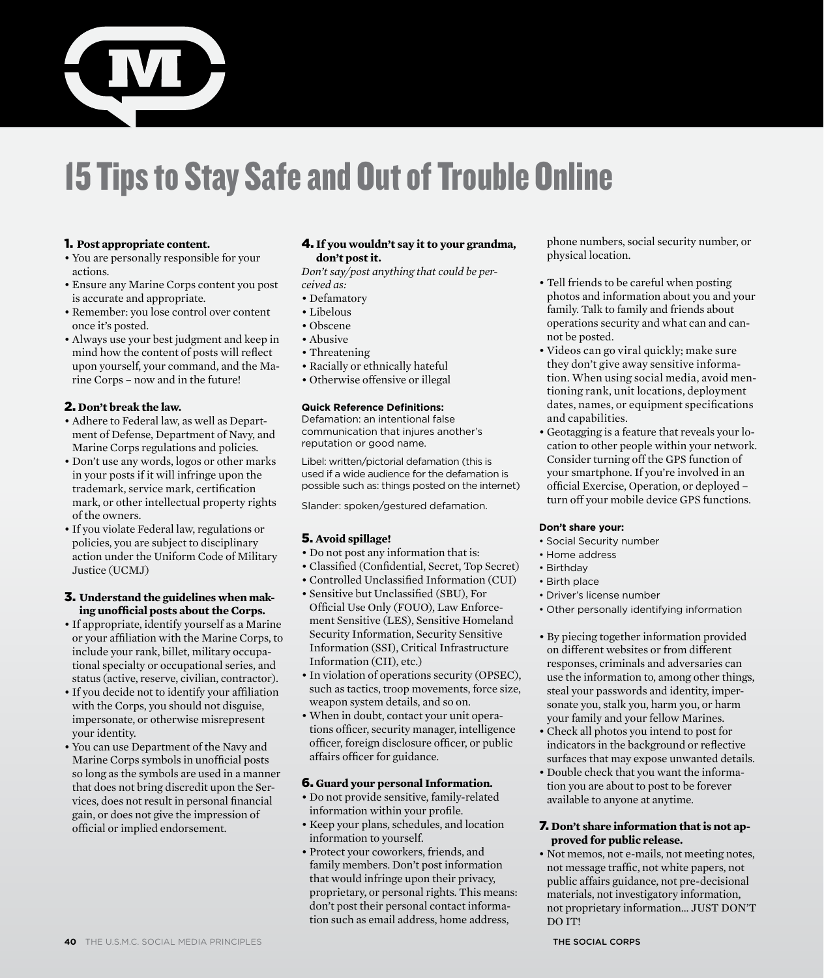

## 15 Tips to Stay Safe and Out of Trouble Online

#### 1. **Post appropriate content.**

- You are personally responsible for your actions.
- Ensure any Marine Corps content you post is accurate and appropriate.
- Remember: you lose control over content once it's posted.
- Always use your best judgment and keep in mind how the content of posts will reflect upon yourself, your command, and the Marine Corps – now and in the future!

#### 2. **Don't break the law.**

- Adhere to Federal law, as well as Department of Defense, Department of Navy, and Marine Corps regulations and policies.
- Don't use any words, logos or other marks in your posts if it will infringe upon the trademark, service mark, certification mark, or other intellectual property rights of the owners.
- If you violate Federal law, regulations or policies, you are subject to disciplinary action under the Uniform Code of Military Justice (UCMJ)

#### 3. **Understand the guidelines when making unofficial posts about the Corps.**

- If appropriate, identify yourself as a Marine or your affiliation with the Marine Corps, to include your rank, billet, military occupational specialty or occupational series, and status (active, reserve, civilian, contractor).
- If you decide not to identify your affiliation with the Corps, you should not disguise, impersonate, or otherwise misrepresent your identity.
- You can use Department of the Navy and Marine Corps symbols in unofficial posts so long as the symbols are used in a manner that does not bring discredit upon the Services, does not result in personal financial gain, or does not give the impression of official or implied endorsement.

#### 4. **If you wouldn't say it to your grandma, don't post it.**

*Don't say/post anything that could be perceived as:*

- Defamatory
- Libelous
- Obscene
- Abusive
- Threatening
- Racially or ethnically hateful
- Otherwise offensive or illegal

#### **Quick Reference Definitions:**

Defamation: an intentional false communication that injures another's reputation or good name.

Libel: written/pictorial defamation (this is used if a wide audience for the defamation is possible such as: things posted on the internet)

Slander: spoken/gestured defamation.

#### 5. **Avoid spillage!**

- Do not post any information that is:
- Classified (Confidential, Secret, Top Secret)
- Controlled Unclassified Information (CUI)
- Sensitive but Unclassified (SBU), For Official Use Only (FOUO), Law Enforcement Sensitive (LES), Sensitive Homeland Security Information, Security Sensitive Information (SSI), Critical Infrastructure Information (CII), etc.)
- In violation of operations security (OPSEC), such as tactics, troop movements, force size, weapon system details, and so on.
- When in doubt, contact your unit operations officer, security manager, intelligence officer, foreign disclosure officer, or public affairs officer for guidance.

#### 6. **Guard your personal Information.**

- Do not provide sensitive, family-related information within your profile.
- Keep your plans, schedules, and location information to yourself.
- Protect your coworkers, friends, and family members. Don't post information that would infringe upon their privacy, proprietary, or personal rights. This means: don't post their personal contact information such as email address, home address,

phone numbers, social security number, or physical location.

- Tell friends to be careful when posting photos and information about you and your family. Talk to family and friends about operations security and what can and cannot be posted.
- Videos can go viral quickly; make sure they don't give away sensitive information. When using social media, avoid mentioning rank, unit locations, deployment dates, names, or equipment specifications and capabilities.
- Geotagging is a feature that reveals your location to other people within your network. Consider turning off the GPS function of your smartphone. If you're involved in an official Exercise, Operation, or deployed – turn off your mobile device GPS functions.

#### **Don't share your:**

- Social Security number
- Home address
- Birthday
- Birth place
- Driver's license number
- Other personally identifying information
- By piecing together information provided on different websites or from different responses, criminals and adversaries can use the information to, among other things, steal your passwords and identity, impersonate you, stalk you, harm you, or harm your family and your fellow Marines.
- Check all photos you intend to post for indicators in the background or reflective surfaces that may expose unwanted details.
- Double check that you want the information you are about to post to be forever available to anyone at anytime.

#### 7. **Don't share information that is not approved for public release.**

• Not memos, not e-mails, not meeting notes, not message traffic, not white papers, not public affairs guidance, not pre-decisional materials, not investigatory information, not proprietary information… JUST DON'T DO IT!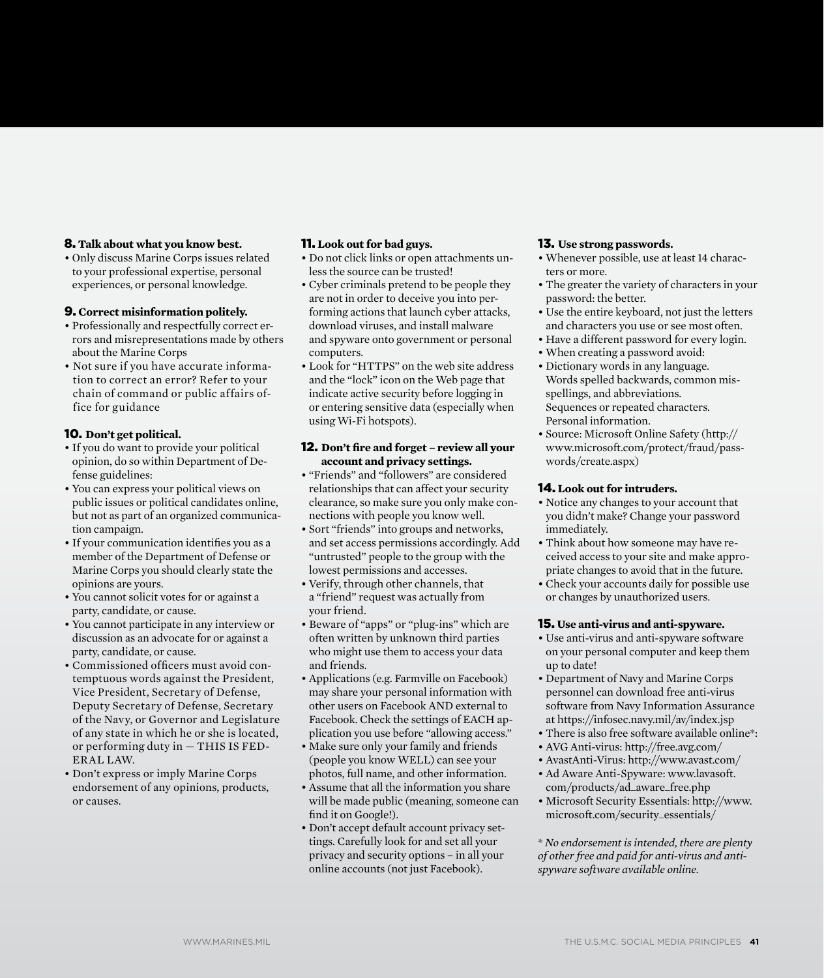#### 8. **Talk about what you know best.**

• Only discuss Marine Corps issues related to your professional expertise, personal experiences, or personal knowledge.

#### 9. **Correct misinformation politely.**

- Professionally and respectfully correct errors and misrepresentations made by others about the Marine Corps
- Not sure if you have accurate information to correct an error? Refer to your chain of command or public affairs office for guidance

#### 10. **Don't get political.**

- If you do want to provide your political opinion, do so within Department of Defense guidelines:
- You can express your political views on public issues or political candidates online, but not as part of an organized communication campaign.
- If your communication identifies you as a member of the Department of Defense or Marine Corps you should clearly state the opinions are yours.
- You cannot solicit votes for or against a party, candidate, or cause.
- You cannot participate in any interview or discussion as an advocate for or against a party, candidate, or cause.
- Commissioned officers must avoid contemptuous words against the President, Vice President, Secretary of Defense, Deputy Secretary of Defense, Secretary of the Navy, or Governor and Legislature of any state in which he or she is located, or performing duty in — THIS IS FED-ERAL LAW.
- Don't express or imply Marine Corps endorsement of any opinions, products, or causes.

#### 11. **Look out for bad guys.**

- Do not click links or open attachments unless the source can be trusted!
- Cyber criminals pretend to be people they are not in order to deceive you into performing actions that launch cyber attacks, download viruses, and install malware and spyware onto government or personal computers.
- Look for "HTTPS" on the web site address and the "lock" icon on the Web page that indicate active security before logging in or entering sensitive data (especially when using Wi-Fi hotspots).

#### 12. **Don't fire and forget – review all your account and privacy settings.**

- "Friends" and "followers" are considered relationships that can affect your security clearance, so make sure you only make connections with people you know well.
- Sort "friends" into groups and networks, and set access permissions accordingly. Add "untrusted" people to the group with the lowest permissions and accesses.
- Verify, through other channels, that a "friend" request was actually from your friend.
- Beware of "apps" or "plug-ins" which are often written by unknown third parties who might use them to access your data and friends.
- Applications (e.g. Farmville on Facebook) may share your personal information with other users on Facebook AND external to Facebook. Check the settings of EACH application you use before "allowing access."
- Make sure only your family and friends (people you know WELL) can see your photos, full name, and other information.
- Assume that all the information you share will be made public (meaning, someone can find it on Google!).
- Don't accept default account privacy settings. Carefully look for and set all your privacy and security options – in all your online accounts (not just Facebook).

#### 13. **Use strong passwords.**

- Whenever possible, use at least 14 characters or more.
- The greater the variety of characters in your password: the better.
- Use the entire keyboard, not just the letters and characters you use or see most often.
- Have a different password for every login.
- When creating a password avoid:
- Dictionary words in any language. Words spelled backwards, common misspellings, and abbreviations. Sequences or repeated characters. Personal information.
- Source: Microsoft Online Safety (http:// www.microsoft.com/protect/fraud/passwords/create.aspx)

#### 14. **Look out for intruders.**

- Notice any changes to your account that you didn't make? Change your password immediately.
- Think about how someone may have received access to your site and make appropriate changes to avoid that in the future.
- Check your accounts daily for possible use or changes by unauthorized users.

#### 15. **Use anti-virus and anti-spyware.**

- Use anti-virus and anti-spyware software on your personal computer and keep them up to date!
- Department of Navy and Marine Corps personnel can download free anti-virus software from Navy Information Assurance at https://infosec.navy.mil/av/index.jsp
- There is also free software available online\*:
- AVG Anti-virus: http://free.avg.com/
- AvastAnti-Virus: http://www.avast.com/
- Ad Aware Anti-Spyware: www.lavasoft. com/products/ad\_aware\_free.php
- Microsoft Security Essentials: http://www. microsoft.com/security\_essentials/

*\* No endorsement is intended, there are plenty of other free and paid for anti-virus and antispyware software available online.*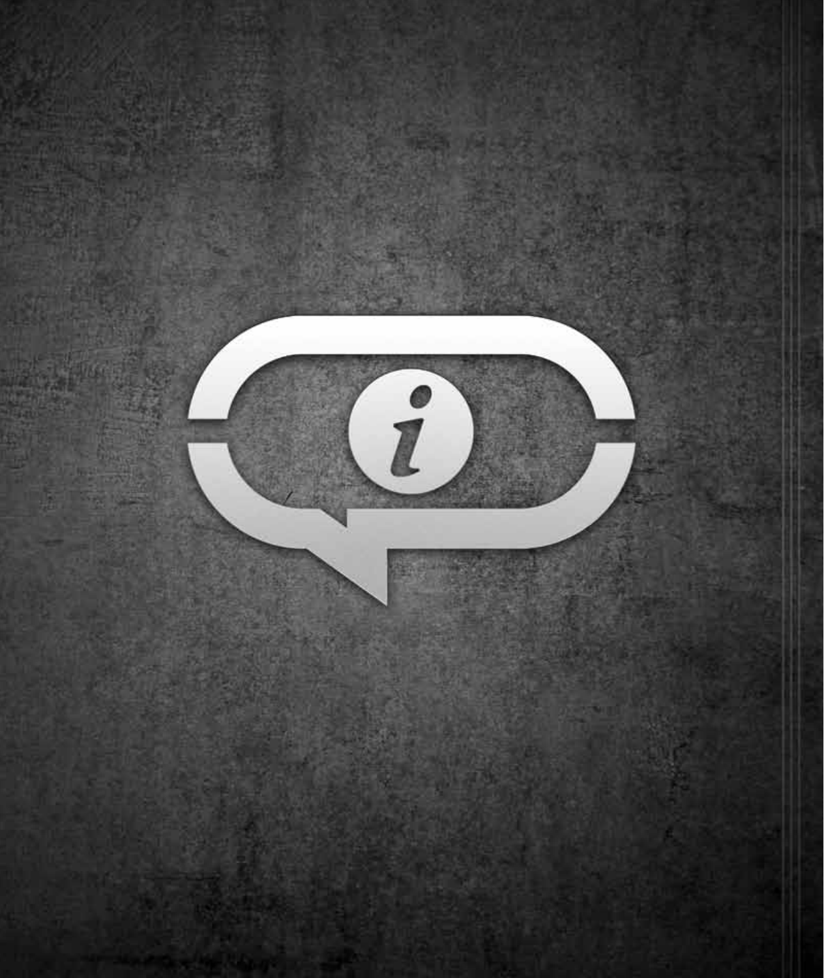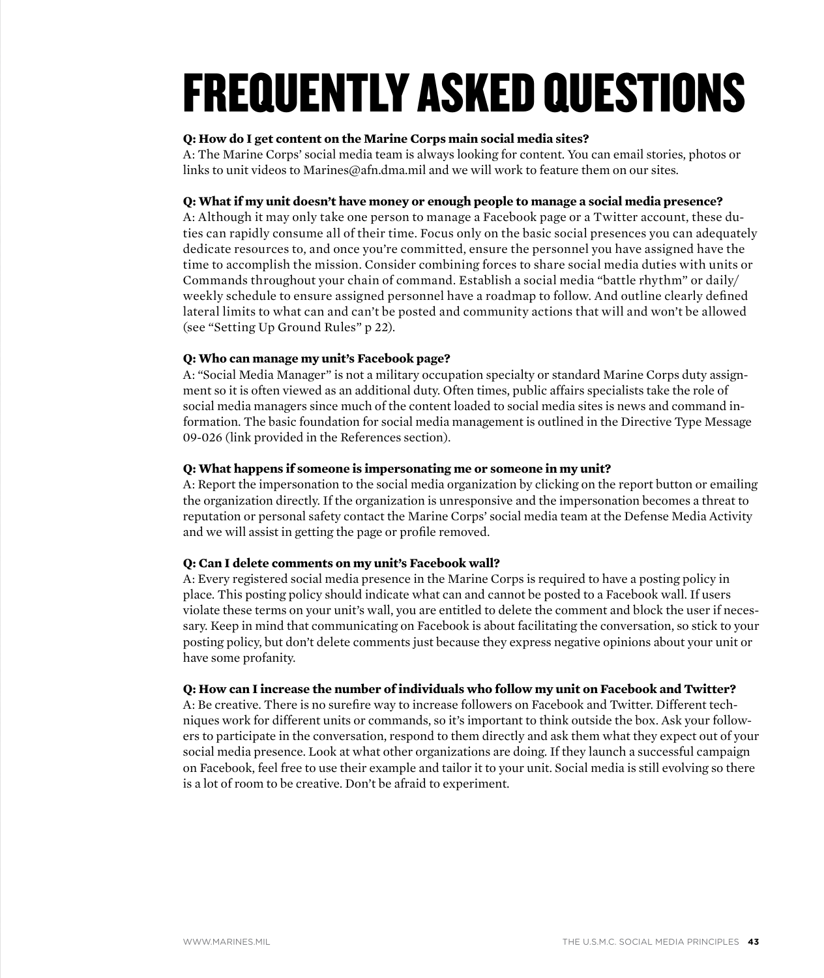## Frequently Asked Questions

#### **Q: How do I get content on the Marine Corps main social media sites?**

A: The Marine Corps' social media team is always looking for content. You can email stories, photos or links to unit videos to Marines@afn.dma.mil and we will work to feature them on our sites.

#### **Q: What if my unit doesn't have money or enough people to manage a social media presence?**

A: Although it may only take one person to manage a Facebook page or a Twitter account, these duties can rapidly consume all of their time. Focus only on the basic social presences you can adequately dedicate resources to, and once you're committed, ensure the personnel you have assigned have the time to accomplish the mission. Consider combining forces to share social media duties with units or Commands throughout your chain of command. Establish a social media "battle rhythm" or daily/ weekly schedule to ensure assigned personnel have a roadmap to follow. And outline clearly defined lateral limits to what can and can't be posted and community actions that will and won't be allowed (see "Setting Up Ground Rules" p 22).

#### **Q: Who can manage my unit's Facebook page?**

A: "Social Media Manager" is not a military occupation specialty or standard Marine Corps duty assignment so it is often viewed as an additional duty. Often times, public affairs specialists take the role of social media managers since much of the content loaded to social media sites is news and command information. The basic foundation for social media management is outlined in the Directive Type Message 09-026 (link provided in the References section).

#### **Q: What happens if someone is impersonating me or someone in my unit?**

A: Report the impersonation to the social media organization by clicking on the report button or emailing the organization directly. If the organization is unresponsive and the impersonation becomes a threat to reputation or personal safety contact the Marine Corps' social media team at the Defense Media Activity and we will assist in getting the page or profile removed.

#### **Q: Can I delete comments on my unit's Facebook wall?**

A: Every registered social media presence in the Marine Corps is required to have a posting policy in place. This posting policy should indicate what can and cannot be posted to a Facebook wall. If users violate these terms on your unit's wall, you are entitled to delete the comment and block the user if necessary. Keep in mind that communicating on Facebook is about facilitating the conversation, so stick to your posting policy, but don't delete comments just because they express negative opinions about your unit or have some profanity.

#### **Q: How can I increase the number of individuals who follow my unit on Facebook and Twitter?**

A: Be creative. There is no surefire way to increase followers on Facebook and Twitter. Different techniques work for different units or commands, so it's important to think outside the box. Ask your followers to participate in the conversation, respond to them directly and ask them what they expect out of your social media presence. Look at what other organizations are doing. If they launch a successful campaign on Facebook, feel free to use their example and tailor it to your unit. Social media is still evolving so there is a lot of room to be creative. Don't be afraid to experiment.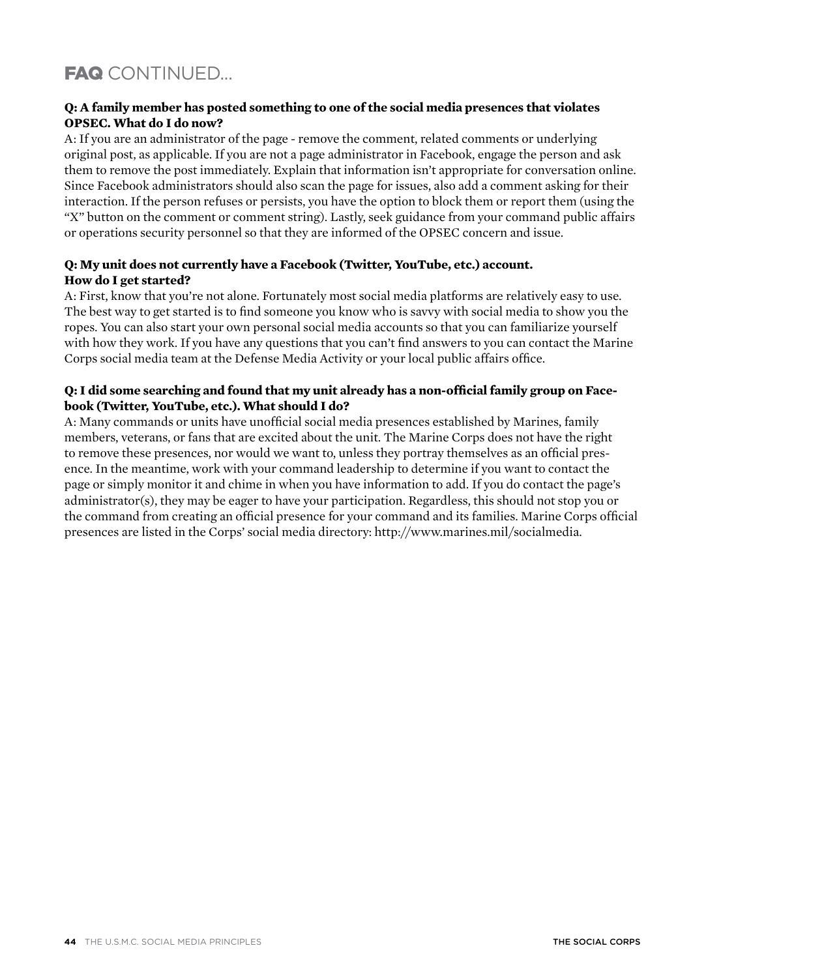#### **Q: A family member has posted something to one of the social media presences that violates OPSEC. What do I do now?**

A: If you are an administrator of the page - remove the comment, related comments or underlying original post, as applicable. If you are not a page administrator in Facebook, engage the person and ask them to remove the post immediately. Explain that information isn't appropriate for conversation online. Since Facebook administrators should also scan the page for issues, also add a comment asking for their interaction. If the person refuses or persists, you have the option to block them or report them (using the "X" button on the comment or comment string). Lastly, seek guidance from your command public affairs or operations security personnel so that they are informed of the OPSEC concern and issue.

#### **Q: My unit does not currently have a Facebook (Twitter, YouTube, etc.) account. How do I get started?**

A: First, know that you're not alone. Fortunately most social media platforms are relatively easy to use. The best way to get started is to find someone you know who is savvy with social media to show you the ropes. You can also start your own personal social media accounts so that you can familiarize yourself with how they work. If you have any questions that you can't find answers to you can contact the Marine Corps social media team at the Defense Media Activity or your local public affairs office.

#### **Q: I did some searching and found that my unit already has a non-official family group on Facebook (Twitter, YouTube, etc.). What should I do?**

A: Many commands or units have unofficial social media presences established by Marines, family members, veterans, or fans that are excited about the unit. The Marine Corps does not have the right to remove these presences, nor would we want to, unless they portray themselves as an official presence. In the meantime, work with your command leadership to determine if you want to contact the page or simply monitor it and chime in when you have information to add. If you do contact the page's administrator(s), they may be eager to have your participation. Regardless, this should not stop you or the command from creating an official presence for your command and its families. Marine Corps official presences are listed in the Corps' social media directory: http://www.marines.mil/socialmedia.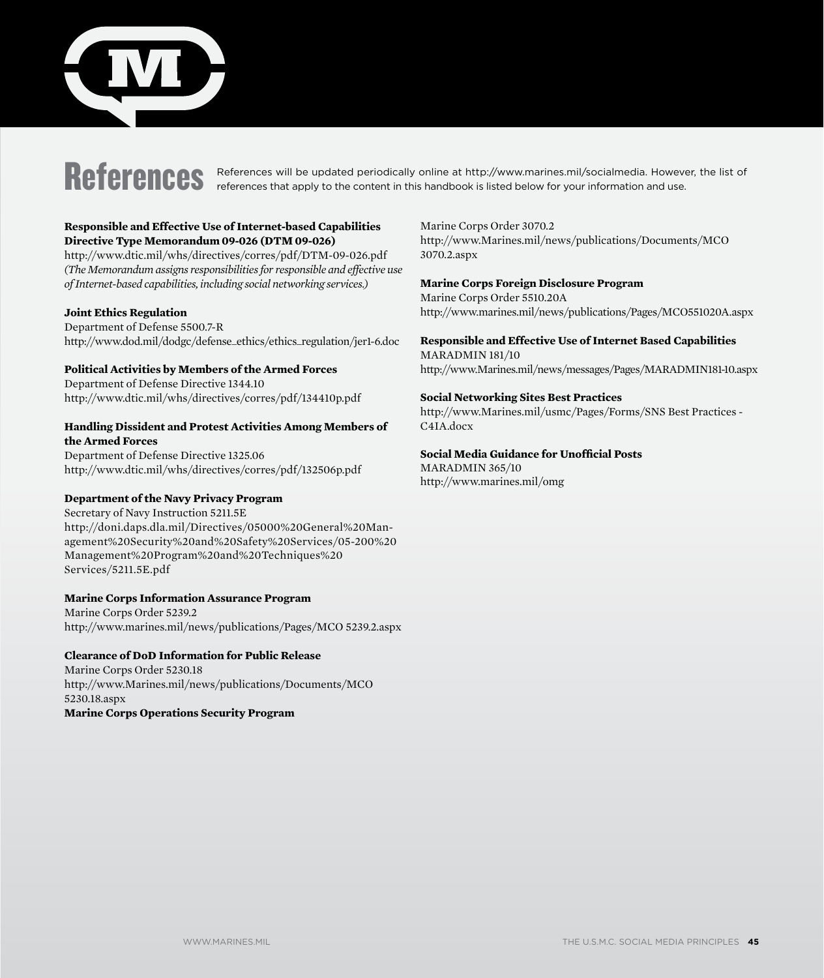

References will be updated periodically online at http://www.marines.mil/socialmedia. However, the list of references that apply to the content in this handbook is listed below for your information and use.

#### **Responsible and Effective Use of Internet-based Capabilities Directive Type Memorandum 09-026 (DTM 09-026)**

http://www.dtic.mil/whs/directives/corres/pdf/DTM-09-026.pdf *(The Memorandum assigns responsibilities for responsible and effective use of Internet-based capabilities, including social networking services.)*

#### **Joint Ethics Regulation**

Department of Defense 5500.7-R http://www.dod.mil/dodgc/defense\_ethics/ethics\_regulation/jer1-6.doc

#### **Political Activities by Members of the Armed Forces**

Department of Defense Directive 1344.10 http://www.dtic.mil/whs/directives/corres/pdf/134410p.pdf

#### **Handling Dissident and Protest Activities Among Members of the Armed Forces**

Department of Defense Directive 1325.06 http://www.dtic.mil/whs/directives/corres/pdf/132506p.pdf

#### **Department of the Navy Privacy Program**

Secretary of Navy Instruction 5211.5E http://doni.daps.dla.mil/Directives/05000%20General%20Management%20Security%20and%20Safety%20Services/05-200%20 Management%20Program%20and%20Techniques%20 Services/5211.5E.pdf

#### **Marine Corps Information Assurance Program**

Marine Corps Order 5239.2 http://www.marines.mil/news/publications/Pages/MCO 5239.2.aspx

#### **Clearance of DoD Information for Public Release**

Marine Corps Order 5230.18 http://www.Marines.mil/news/publications/Documents/MCO 5230.18.aspx **Marine Corps Operations Security Program**

Marine Corps Order 3070.2 http://www.Marines.mil/news/publications/Documents/MCO 3070.2.aspx

#### **Marine Corps Foreign Disclosure Program**

Marine Corps Order 5510.20A http://www.marines.mil/news/publications/Pages/MCO551020A.aspx

#### **Responsible and Effective Use of Internet Based Capabilities**

MARADMIN 181/10 http://www.Marines.mil/news/messages/Pages/MARADMIN181-10.aspx

#### **Social Networking Sites Best Practices**

http://www.Marines.mil/usmc/Pages/Forms/SNS Best Practices - C4IA.docx

#### **Social Media Guidance for Unofficial Posts**

MARADMIN 365/10 http://www.marines.mil/omg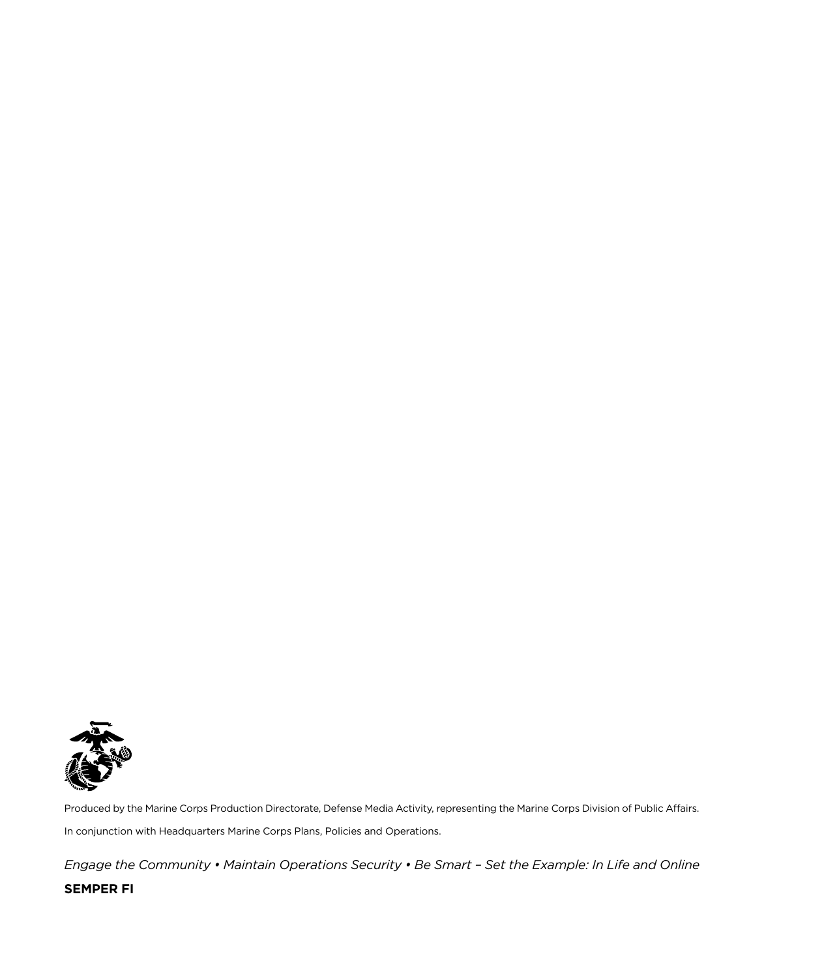

Produced by the Marine Corps Production Directorate, Defense Media Activity, representing the Marine Corps Division of Public Affairs. In conjunction with Headquarters Marine Corps Plans, Policies and Operations.

*Engage the Community • Maintain Operations Security • Be Smart – Set the Example: In Life and Online*

**Semper Fi**